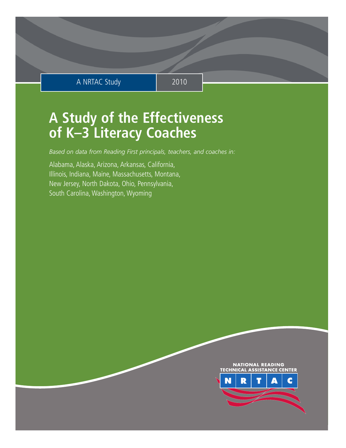# A NRTAC Study 2010

# **A Study of the Effectiveness of K–3 Literacy Coaches**

*Based on data from Reading First principals, teachers, and coaches in:*

Alabama, Alaska, Arizona, Arkansas, California, Illinois, Indiana, Maine, Massachusetts, Montana, New Jersey, North Dakota, Ohio, Pennsylvania, South Carolina, Washington, Wyoming

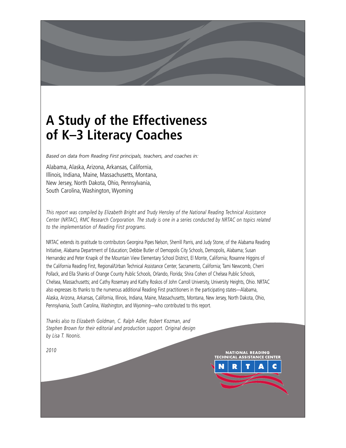# **A Study of the Effectiveness of K–3 Literacy Coaches**

*Based on data from Reading First principals, teachers, and coaches in:*

Alabama, Alaska, Arizona, Arkansas, California, Illinois, Indiana, Maine, Massachusetts, Montana, New Jersey, North Dakota, Ohio, Pennsylvania, South Carolina, Washington, Wyoming

*This report was compiled by Elizabeth Bright and Trudy Hensley of the National Reading Technical Assistance Center (NRTAC), RMC Research Corporation. The study is one in a series conducted by NRTAC on topics related to the implementation of Reading First programs.*

NRTAC extends its gratitude to contributors Georgina Pipes Nelson, Sherrill Parris, and Judy Stone, of the Alabama Reading Initiative, Alabama Department of Education; Debbie Butler of Demopolis City Schools, Demopolis, Alabama; Susan Hernandez and Peter Knapik of the Mountain View Elementary School District, El Monte, California; Roxanne Higgins of the California Reading First, Regional/Urban Technical Assistance Center, Sacramento, California; Tami Newcomb, Cherri Pollack, and Ella Shanks of Orange County Public Schools, Orlando, Florida; Shira Cohen of Chelsea Public Schools, Chelsea, Massachusetts; and Cathy Rosemary and Kathy Roskos of John Carroll University, University Heights, Ohio. NRTAC also expresses its thanks to the numerous additional Reading First practitioners in the participating states—Alabama, Alaska, Arizona, Arkansas, California, Illinois, Indiana, Maine, Massachusetts, Montana, New Jersey, North Dakota, Ohio, Pennsylvania, South Carolina, Washington, and Wyoming—who contributed to this report.

*Thanks also to Elizabeth Goldman, C. Ralph Adler, Robert Kozman, and Stephen Brown for their editorial and production support. Original design by Lisa T. Noonis.*

**NTER** 

**ATIONAL READING** 

*2010*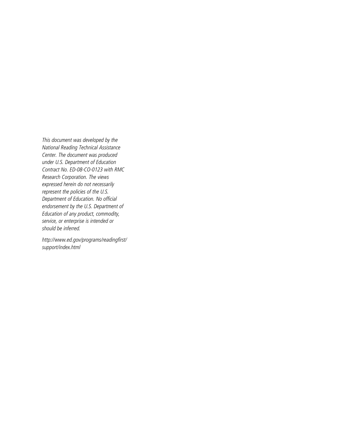This document was developed by the National Reading Technical Assistance Center. The document was produced under U.S. Department of Education Contract No. ED-08-CO-0123 with RMC Research Corporation. The views expressed herein do not necessarily represent the policies of the U.S. Department of Education. No official endorsement by the U.S. Department of Education of any product, commodity, service, or enterprise is intended or should be inferred.

http://www.ed.gov/programs/readingfirst/ support/index.html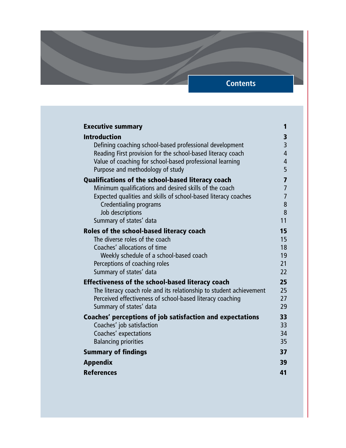# **Contents**

| <b>Executive summary</b>                                            | 1                   |
|---------------------------------------------------------------------|---------------------|
| <b>Introduction</b>                                                 |                     |
| Defining coaching school-based professional development             | 3<br>$\overline{3}$ |
| Reading First provision for the school-based literacy coach         | $\overline{4}$      |
| Value of coaching for school-based professional learning            | $\overline{4}$      |
| Purpose and methodology of study                                    | 5                   |
| Qualifications of the school-based literacy coach                   | 7                   |
| Minimum qualifications and desired skills of the coach              | 7                   |
| Expected qualities and skills of school-based literacy coaches      | $\overline{7}$      |
| Credentialing programs                                              | 8                   |
| Job descriptions                                                    | 8                   |
| Summary of states' data                                             | 11                  |
| Roles of the school-based literacy coach                            | 15                  |
| The diverse roles of the coach                                      | 15                  |
| Coaches' allocations of time                                        | 18                  |
| Weekly schedule of a school-based coach                             | 19                  |
| Perceptions of coaching roles                                       | 21                  |
| Summary of states' data                                             | 22                  |
| <b>Effectiveness of the school-based literacy coach</b>             | 25                  |
| The literacy coach role and its relationship to student achievement | 25                  |
| Perceived effectiveness of school-based literacy coaching           | 27                  |
| Summary of states' data                                             | 29                  |
| Coaches' perceptions of job satisfaction and expectations           | 33                  |
| Coaches' job satisfaction                                           | 33                  |
| Coaches' expectations                                               | 34                  |
| <b>Balancing priorities</b>                                         | 35                  |
| <b>Summary of findings</b>                                          | 37                  |
| <b>Appendix</b>                                                     | 39                  |
| <b>References</b>                                                   | 41                  |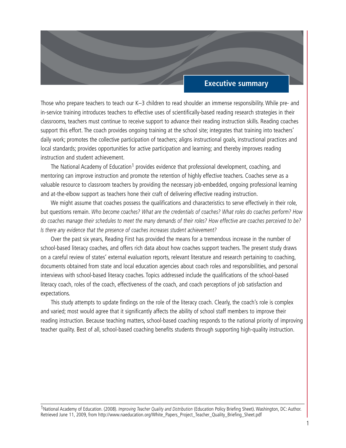## **Executive summary**

Those who prepare teachers to teach our K–3 children to read shoulder an immense responsibility. While pre- and in-service training introduces teachers to effective uses of scientifically-based reading research strategies in their classrooms, teachers must continue to receive support to advance their reading instruction skills. Reading coaches support this effort. The coach provides ongoing training at the school site; integrates that training into teachers' daily work; promotes the collective participation of teachers; aligns instructional goals, instructional practices and local standards; provides opportunities for active participation and learning; and thereby improves reading instruction and student achievement.

The National Academy of Education<sup>1</sup> provides evidence that professional development, coaching, and mentoring can improve instruction and promote the retention of highly effective teachers. Coaches serve as a valuable resource to classroom teachers by providing the necessary job-embedded, ongoing professional learning and at-the-elbow support as teachers hone their craft of delivering effective reading instruction.

We might assume that coaches possess the qualifications and characteristics to serve effectively in their role, but questions remain. *Who become coaches? What are the credentials of coaches? What roles do coaches perform? How do coaches manage their schedules to meet the many demands of their roles? How effective are coaches perceived to be? Is there any evidence that the presence of coaches increases student achievement?*

Over the past six years, Reading First has provided the means for a tremendous increase in the number of school-based literacy coaches, and offers rich data about how coaches support teachers. The present study draws on a careful review of states' external evaluation reports, relevant literature and research pertaining to coaching, documents obtained from state and local education agencies about coach roles and responsibilities, and personal interviews with school-based literacy coaches. Topics addressed include the qualifications of the school-based literacy coach, roles of the coach, effectiveness of the coach, and coach perceptions of job satisfaction and expectations.

This study attempts to update findings on the role of the literacy coach. Clearly, the coach's role is complex and varied; most would agree that it significantly affects the ability of school staff members to improve their reading instruction. Because teaching matters, school-based coaching responds to the national priority of improving teacher quality. Best of all, school-based coaching benefits students through supporting high-quality instruction.

1National Academy of Education. (2008). *Improving Teacher Quality and Distribution* (Education Policy Briefing Sheet). Washington, DC: Author. Retrieved June 11, 2009, from http://www.naeducation.org/White\_Papers\_Project\_Teacher\_Quality\_Briefing\_Sheet.pdf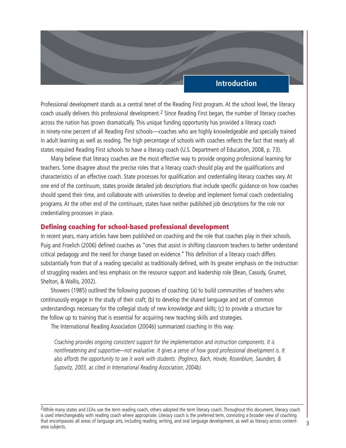## **Introduction**

Professional development stands as a central tenet of the Reading First program. At the school level, the literacy coach usually delivers this professional development.2 Since Reading First began, the number of literacy coaches across the nation has grown dramatically. This unique funding opportunity has provided a literacy coach in ninety-nine percent of all Reading First schools—coaches who are highly knowledgeable and specially trained in adult learning as well as reading. The high percentage of schools with coaches reflects the fact that nearly all states required Reading First schools to have a literacy coach (U.S. Department of Education, 2008, p. 73).

Many believe that literacy coaches are the most effective way to provide ongoing professional learning for teachers. Some disagree about the precise roles that a literacy coach should play and the qualifications and characteristics of an effective coach. State processes for qualification and credentialing literacy coaches vary. At one end of the continuum, states provide detailed job descriptions that include specific guidance on how coaches should spend their time, and collaborate with universities to develop and implement formal coach credentialing programs. At the other end of the continuum, states have neither published job descriptions for the role nor credentialing processes in place.

#### **Defining coaching for school-based professional development**

In recent years, many articles have been published on coaching and the role that coaches play in their schools. Puig and Froelich (2006) defined coaches as "ones that assist in shifting classroom teachers to better understand critical pedagogy and the need for change based on evidence." This definition of a literacy coach differs substantially from that of a reading specialist as traditionally defined, with its greater emphasis on the instruction of struggling readers and less emphasis on the resource support and leadership role (Bean, Cassidy, Grumet, Shelton, & Wallis, 2002).

Showers (1985) outlined the following purposes of coaching: (a) to build communities of teachers who continuously engage in the study of their craft; (b) to develop the shared language and set of common understandings necessary for the collegial study of new knowledge and skills; (c) to provide a structure for the follow up to training that is essential for acquiring new teaching skills and strategies.

The International Reading Association (2004b) summarized coaching in this way:

*Coaching provides ongoing consistent support for the implementation and instruction components. It is nonthreatening and supportive—not evaluative. It gives a sense of how good professional development is. It also affords the opportunity to see it work with students. (Poglinco, Bach, Hovde, Rosenblum, Saunders, & Supovitz, 2003, as cited in International Reading Association, 2004b).*

<sup>&</sup>lt;sup>2</sup>While many states and LEAs use the term reading coach, others adopted the term literacy coach. Throughout this document, literacy coach is used interchangeably with reading coach where appropriate. Literacy coach is the preferred term, connoting a broader view of coaching that encompasses all areas of language arts, including reading, writing, and oral language development, as well as literacy across contentarea subjects.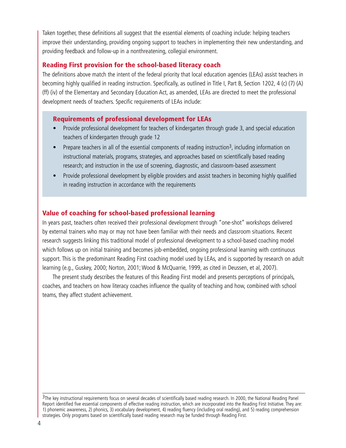Taken together, these definitions all suggest that the essential elements of coaching include: helping teachers improve their understanding, providing ongoing support to teachers in implementing their new understanding, and providing feedback and follow-up in a nonthreatening, collegial environment.

## **Reading First provision for the school-based literacy coach**

The definitions above match the intent of the federal priority that local education agencies (LEAs) assist teachers in becoming highly qualified in reading instruction. Specifically, as outlined in Title I, Part B, Section 1202, 4 (c) (7) (A) (ff) (iv) of the Elementary and Secondary Education Act, as amended, LEAs are directed to meet the professional development needs of teachers. Specific requirements of LEAs include:

## **Requirements of professional development for LEAs**

- Provide professional development for teachers of kindergarten through grade 3, and special education teachers of kindergarten through grade 12
- Prepare teachers in all of the essential components of reading instruction<sup>3</sup>, including information on instructional materials, programs, strategies, and approaches based on scientifically based reading research; and instruction in the use of screening, diagnostic, and classroom-based assessment
- Provide professional development by eligible providers and assist teachers in becoming highly qualified in reading instruction in accordance with the requirements

## **Value of coaching for school-based professional learning**

In years past, teachers often received their professional development through "one-shot" workshops delivered by external trainers who may or may not have been familiar with their needs and classroom situations. Recent research suggests linking this traditional model of professional development to a school-based coaching model which follows up on initial training and becomes job-embedded, ongoing professional learning with continuous support. This is the predominant Reading First coaching model used by LEAs, and is supported by research on adult learning (e.g., Guskey, 2000; Norton, 2001; Wood & McQuarrie, 1999, as cited in Deussen, et al, 2007).

The present study describes the features of this Reading First model and presents perceptions of principals, coaches, and teachers on how literacy coaches influence the quality of teaching and how, combined with school teams, they affect student achievement.

<sup>&</sup>lt;sup>3</sup>The key instructional requirements focus on several decades of scientifically based reading research. In 2000, the National Reading Panel Report identified five essential components of effective reading instruction, which are incorporated into the Reading First Initiative. They are: 1) phonemic awareness, 2) phonics, 3) vocabulary development, 4) reading fluency (including oral reading), and 5) reading comprehension strategies. Only programs based on scientifically based reading research may be funded through Reading First.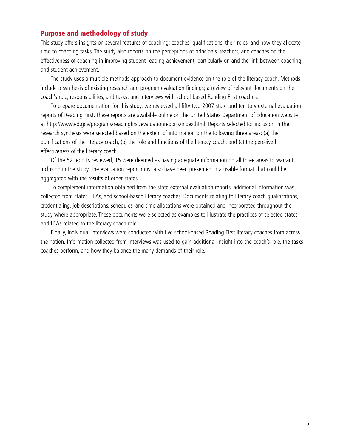#### **Purpose and methodology of study**

This study offers insights on several features of coaching: coaches' qualifications, their roles, and how they allocate time to coaching tasks. The study also reports on the perceptions of principals, teachers, and coaches on the effectiveness of coaching in improving student reading achievement, particularly on and the link between coaching and student achievement.

The study uses a multiple-methods approach to document evidence on the role of the literacy coach. Methods include a synthesis of existing research and program evaluation findings; a review of relevant documents on the coach's role, responsibilities, and tasks; and interviews with school-based Reading First coaches.

To prepare documentation for this study, we reviewed all fifty-two 2007 state and territory external evaluation reports of Reading First. These reports are available online on the United States Department of Education website at http://www.ed.gov/programs/readingfirst/evaluationreports/index.html. Reports selected for inclusion in the research synthesis were selected based on the extent of information on the following three areas: (a) the qualifications of the literacy coach, (b) the role and functions of the literacy coach, and (c) the perceived effectiveness of the literacy coach.

Of the 52 reports reviewed, 15 were deemed as having adequate information on all three areas to warrant inclusion in the study. The evaluation report must also have been presented in a usable format that could be aggregated with the results of other states.

To complement information obtained from the state external evaluation reports, additional information was collected from states, LEAs, and school-based literacy coaches. Documents relating to literacy coach qualifications, credentialing, job descriptions, schedules, and time allocations were obtained and incorporated throughout the study where appropriate. These documents were selected as examples to illustrate the practices of selected states and LEAs related to the literacy coach role.

Finally, individual interviews were conducted with five school-based Reading First literacy coaches from across the nation. Information collected from interviews was used to gain additional insight into the coach's role, the tasks coaches perform, and how they balance the many demands of their role.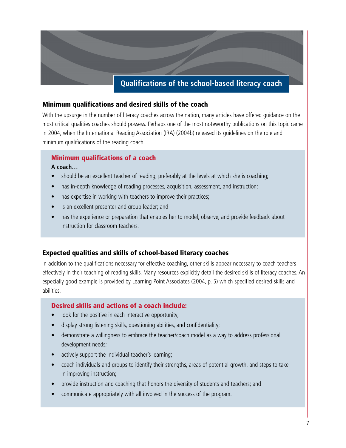# **Qualifications of the school-based literacy coach**

## **Minimum qualifications and desired skills of the coach**

With the upsurge in the number of literacy coaches across the nation, many articles have offered guidance on the most critical qualities coaches should possess. Perhaps one of the most noteworthy publications on this topic came in 2004, when the International Reading Association (IRA) (2004b) released its guidelines on the role and minimum qualifications of the reading coach.

# **Minimum qualifications of a coach**

#### **A coach…**

- should be an excellent teacher of reading, preferably at the levels at which she is coaching;
- has in-depth knowledge of reading processes, acquisition, assessment, and instruction;
- has expertise in working with teachers to improve their practices;
- is an excellent presenter and group leader; and
- has the experience or preparation that enables her to model, observe, and provide feedback about instruction for classroom teachers.

#### **Expected qualities and skills of school-based literacy coaches**

In addition to the qualifications necessary for effective coaching, other skills appear necessary to coach teachers effectively in their teaching of reading skills. Many resources explicitly detail the desired skills of literacy coaches. An especially good example is provided by Learning Point Associates (2004, p. 5) which specified desired skills and abilities.

#### **Desired skills and actions of a coach include:**

- look for the positive in each interactive opportunity;
- display strong listening skills, questioning abilities, and confidentiality;
- demonstrate a willingness to embrace the teacher/coach model as a way to address professional development needs;
- actively support the individual teacher's learning;
- coach individuals and groups to identify their strengths, areas of potential growth, and steps to take in improving instruction;
- provide instruction and coaching that honors the diversity of students and teachers; and
- communicate appropriately with all involved in the success of the program.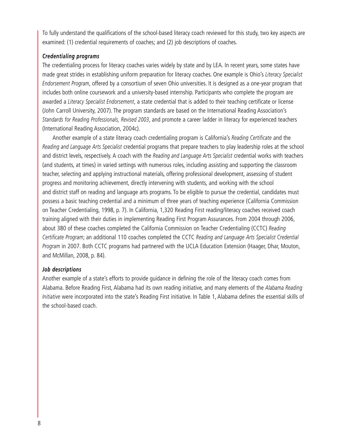To fully understand the qualifications of the school-based literacy coach reviewed for this study, two key aspects are examined: (1) credential requirements of coaches; and (2) job descriptions of coaches.

#### *Credentialing programs*

The credentialing process for literacy coaches varies widely by state and by LEA. In recent years, some states have made great strides in establishing uniform preparation for literacy coaches. One example is Ohio's *Literacy Specialist Endorsement Program*, offered by a consortium of seven Ohio universities. It is designed as a one-year program that includes both online coursework and a university-based internship. Participants who complete the program are awarded a *Literacy Specialist Endorsement*, a state credential that is added to their teaching certificate or license (John Carroll University, 2007). The program standards are based on the International Reading Association's *Standards for Reading Professionals, Revised 2003*, and promote a career ladder in literacy for experienced teachers (International Reading Association, 2004c).

Another example of a state literacy coach credentialing program is California's *Reading Certificate* and the *Reading and Language Arts Specialist* credential programs that prepare teachers to play leadership roles at the school and district levels, respectively. A coach with the *Reading and Language Arts Specialist* credential works with teachers (and students, at times) in varied settings with numerous roles, including assisting and supporting the classroom teacher, selecting and applying instructional materials, offering professional development, assessing of student progress and monitoring achievement, directly intervening with students, and working with the school and district staff on reading and language arts programs. To be eligible to pursue the credential, candidates must possess a basic teaching credential and a minimum of three years of teaching experience (California Commission on Teacher Credentialing, 1998, p. 7). In California, 1,320 Reading First reading/literacy coaches received coach training aligned with their duties in implementing Reading First Program Assurances. From 2004 through 2006, about 380 of these coaches completed the California Commission on Teacher Credentialing (CCTC) *Reading Certificate Program*; an additional 110 coaches completed the CCTC *Reading and Language Arts Specialist Credential Program* in 2007. Both CCTC programs had partnered with the UCLA Education Extension (Haager, Dhar, Mouton, and McMillan, 2008, p. 84).

#### *Job descriptions*

Another example of a state's efforts to provide guidance in defining the role of the literacy coach comes from Alabama. Before Reading First, Alabama had its own reading initiative, and many elements of the *Alabama Reading Initiative* were incorporated into the state's Reading First initiative. In Table 1, Alabama defines the essential skills of the school-based coach.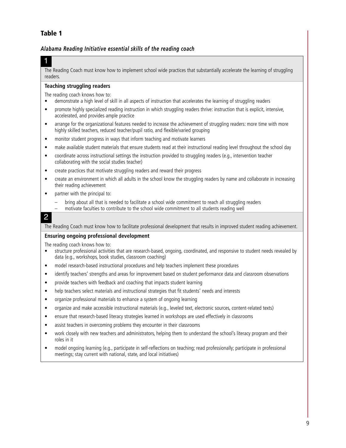## **Table 1**

#### *Alabama Reading Initiative essential skills of the reading coach*

## 1

The Reading Coach must know how to implement school wide practices that substantially accelerate the learning of struggling readers.

#### **Teaching struggling readers**

The reading coach knows how to:

- demonstrate a high level of skill in all aspects of instruction that accelerates the learning of struggling readers
- promote highly specialized reading instruction in which struggling readers thrive: instruction that is explicit, intensive, accelerated, and provides ample practice
- arrange for the organizational features needed to increase the achievement of struggling readers: more time with more highly skilled teachers, reduced teacher/pupil ratio, and flexible/varied grouping
- monitor student progress in ways that inform teaching and motivate learners
- make available student materials that ensure students read at their instructional reading level throughout the school day
- coordinate across instructional settings the instruction provided to struggling readers (e.g., intervention teacher collaborating with the social studies teacher)
- create practices that motivate struggling readers and reward their progress
- create an environment in which all adults in the school know the struggling readers by name and collaborate in increasing their reading achievement
- partner with the principal to:
	- bring about all that is needed to facilitate a school wide commitment to reach all struggling readers
	- motivate faculties to contribute to the school wide commitment to all students reading well

#### 2

The Reading Coach must know how to facilitate professional development that results in improved student reading achievement.

#### **Ensuring ongoing professional development**

The reading coach knows how to:

- structure professional activities that are research-based, ongoing, coordinated, and responsive to student needs revealed by data (e.g., workshops, book studies, classroom coaching)
- model research-based instructional procedures and help teachers implement these procedures
- identify teachers' strengths and areas for improvement based on student performance data and classroom observations
- provide teachers with feedback and coaching that impacts student learning
- help teachers select materials and instructional strategies that fit students' needs and interests
- organize professional materials to enhance a system of ongoing learning
- organize and make accessible instructional materials (e.g., leveled text, electronic sources, content-related texts)
- ensure that research-based literacy strategies learned in workshops are used effectively in classrooms
- assist teachers in overcoming problems they encounter in their classrooms
- work closely with new teachers and administrators, helping them to understand the school's literacy program and their roles in it
- model ongoing learning (e.g., participate in self-reflections on teaching; read professionally; participate in professional meetings; stay current with national, state, and local initiatives)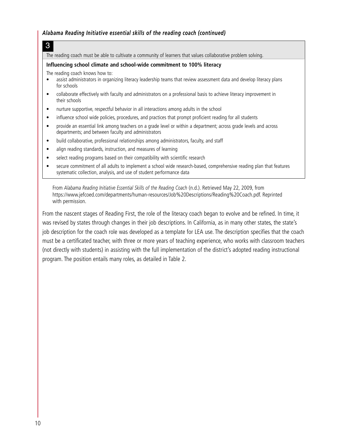#### *Alabama Reading Initiative essential skills of the reading coach (continued)*

The reading coach must be able to cultivate a community of learners that values collaborative problem solving.

#### **Influencing school climate and school-wide commitment to 100% literacy**

The reading coach knows how to:

3

- assist administrators in organizing literacy leadership teams that review assessment data and develop literacy plans for schools
- collaborate effectively with faculty and administrators on a professional basis to achieve literacy improvement in their schools
- nurture supportive, respectful behavior in all interactions among adults in the school
- influence school wide policies, procedures, and practices that prompt proficient reading for all students
- provide an essential link among teachers on a grade level or within a department; across grade levels and across departments; and between faculty and administrators
- build collaborative, professional relationships among administrators, faculty, and staff
- align reading standards, instruction, and measures of learning
- select reading programs based on their compatibility with scientific research
- secure commitment of all adults to implement a school wide research-based, comprehensive reading plan that features systematic collection, analysis, and use of student performance data

From *Alabama Reading Initiative Essential Skills of the Reading Coach* (n.d.). Retrieved May 22, 2009, from https://www.jefcoed.com/departments/human-resources/Job%20Descriptions/Reading%20Coach.pdf. Reprinted with permission.

From the nascent stages of Reading First, the role of the literacy coach began to evolve and be refined. In time, it was revised by states through changes in their job descriptions. In California, as in many other states, the state's job description for the coach role was developed as a template for LEA use. The description specifies that the coach must be a certificated teacher, with three or more years of teaching experience, who works with classroom teachers (not directly with students) in assisting with the full implementation of the district's adopted reading instructional program. The position entails many roles, as detailed in Table 2.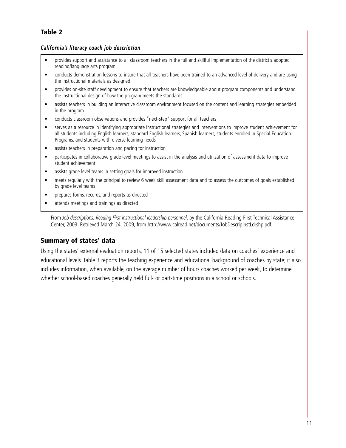## **Table 2**

#### *California's literacy coach job description*

- provides support and assistance to all classroom teachers in the full and skillful implementation of the district's adopted reading/language arts program
- conducts demonstration lessons to insure that all teachers have been trained to an advanced level of delivery and are using the instructional materials as designed
- provides on-site staff development to ensure that teachers are knowledgeable about program components and understand the instructional design of how the program meets the standards
- assists teachers in building an interactive classroom environment focused on the content and learning strategies embedded in the program
- conducts classroom observations and provides "next-step" support for all teachers
- serves as a resource in identifying appropriate instructional strategies and interventions to improve student achievement for all students including English learners, standard English learners, Spanish learners, students enrolled in Special Education Programs, and students with diverse learning needs
- assists teachers in preparation and pacing for instruction
- participates in collaborative grade level meetings to assist in the analysis and utilization of assessment data to improve student achievement
- assists grade level teams in setting goals for improved instruction
- meets regularly with the principal to review 6 week skill assessment data and to assess the outcomes of goals established by grade level teams
- prepares forms, records, and reports as directed
- attends meetings and trainings as directed

From *Job descriptions: Reading First instructional leadership personnel, by the California Reading First Technical Assistance* Center, 2003. Retrieved March 24, 2009, from http://www.calread.net/documents/JobDescripInstLdrshp.pdf

## **Summary of states' data**

Using the states' external evaluation reports, 11 of 15 selected states included data on coaches' experience and educational levels. Table 3 reports the teaching experience and educational background of coaches by state; it also includes information, when available, on the average number of hours coaches worked per week, to determine whether school-based coaches generally held full- or part-time positions in a school or schools.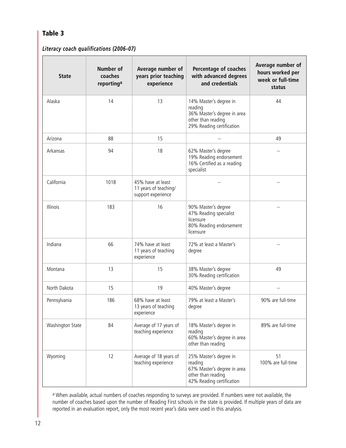## **Table 3**

## *Literacy coach qualifications (2006–07)*

| <b>State</b>     | Number of<br>coaches<br>reporting <sup>a</sup> | Average number of<br>years prior teaching<br>experience          | <b>Percentage of coaches</b><br>with advanced degrees<br>and credentials                                            | Average number of<br>hours worked per<br>week or full-time<br>status |
|------------------|------------------------------------------------|------------------------------------------------------------------|---------------------------------------------------------------------------------------------------------------------|----------------------------------------------------------------------|
| Alaska           | 14                                             | 13                                                               | 14% Master's degree in<br>reading<br>36% Master's degree in area<br>other than reading<br>29% Reading certification | 44                                                                   |
| Arizona          | 88                                             | 15                                                               | $-$                                                                                                                 | 49                                                                   |
| Arkansas         | 94                                             | 18                                                               | 62% Master's degree<br>19% Reading endorsement<br>16% Certified as a reading<br>specialist                          |                                                                      |
| California       | 1018                                           | 45% have at least<br>11 years of teaching/<br>support experience |                                                                                                                     |                                                                      |
| Illinois         | 183                                            | 16                                                               | 90% Master's degree<br>47% Reading specialist<br>licensure<br>80% Reading endorsement<br>licensure                  |                                                                      |
| Indiana          | 66                                             | 74% have at least<br>11 years of teaching<br>experience          | 72% at least a Master's<br>degree                                                                                   |                                                                      |
| Montana          | 13                                             | 15                                                               | 38% Master's degree<br>30% Reading certification                                                                    | 49                                                                   |
| North Dakota     | 15                                             | 19                                                               | 40% Master's degree                                                                                                 | $-1$                                                                 |
| Pennsylvania     | 186                                            | 68% have at least<br>13 years of teaching<br>experience          | 79% at least a Master's<br>degree                                                                                   | 90% are full-time                                                    |
| Washington State | 84                                             | Average of 17 years of<br>teaching experience                    | 18% Master's degree in<br>reading<br>60% Master's degree in area<br>other than reading                              | 89% are full-time                                                    |
| Wyoming          | 12                                             | Average of 18 years of<br>teaching experience                    | 25% Master's degree in<br>reading<br>67% Master's degree in area<br>other than reading<br>42% Reading certification | 51<br>100% are full-time                                             |

a When available, actual numbers of coaches responding to surveys are provided. If numbers were not available, the number of coaches based upon the number of Reading First schools in the state is provided. If multiple years of data are reported in an evaluation report, only the most recent year's data were used in this analysis.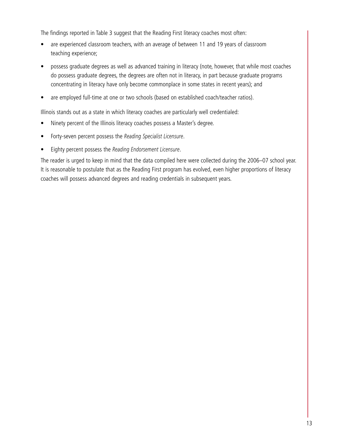The findings reported in Table 3 suggest that the Reading First literacy coaches most often:

- are experienced classroom teachers, with an average of between 11 and 19 years of classroom teaching experience;
- possess graduate degrees as well as advanced training in literacy (note, however, that while most coaches do possess graduate degrees, the degrees are often not in literacy, in part because graduate programs concentrating in literacy have only become commonplace in some states in recent years); and
- are employed full-time at one or two schools (based on established coach/teacher ratios).

Illinois stands out as a state in which literacy coaches are particularly well credentialed:

- Ninety percent of the Illinois literacy coaches possess a Master's degree.
- Forty-seven percent possess the *Reading Specialist Licensure*.
- Eighty percent possess the *Reading Endorsement Licensure*.

The reader is urged to keep in mind that the data compiled here were collected during the 2006–07 school year. It is reasonable to postulate that as the Reading First program has evolved, even higher proportions of literacy coaches will possess advanced degrees and reading credentials in subsequent years.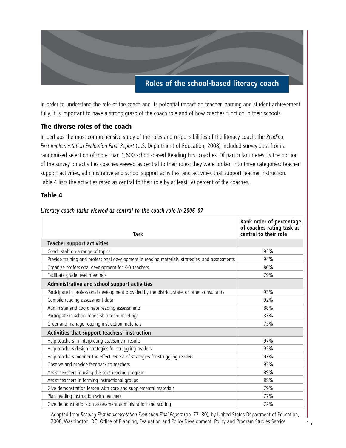# **Roles of the school-based literacy coach**

In order to understand the role of the coach and its potential impact on teacher learning and student achievement fully, it is important to have a strong grasp of the coach role and of how coaches function in their schools.

## **The diverse roles of the coach**

In perhaps the most comprehensive study of the roles and responsibilities of the literacy coach, the *Reading First Implementation Evaluation Final Report* (U.S. Department of Education, 2008) included survey data from a randomized selection of more than 1,600 school-based Reading First coaches. Of particular interest is the portion of the survey on activities coaches viewed as central to their roles; they were broken into three categories: teacher support activities, administrative and school support activities, and activities that support teacher instruction. Table 4 lists the activities rated as central to their role by at least 50 percent of the coaches.

#### **Table 4**

| <b>Task</b>                                                                                     | Rank order of percentage<br>of coaches rating task as<br>central to their role |
|-------------------------------------------------------------------------------------------------|--------------------------------------------------------------------------------|
| <b>Teacher support activities</b>                                                               |                                                                                |
| Coach staff on a range of topics                                                                | 95%                                                                            |
| Provide training and professional development in reading materials, strategies, and assessments | 94%                                                                            |
| Organize professional development for K-3 teachers                                              | 86%                                                                            |
| Facilitate grade level meetings                                                                 | 79%                                                                            |
| Administrative and school support activities                                                    |                                                                                |
| Participate in professional development provided by the district, state, or other consultants   | 93%                                                                            |
| Compile reading assessment data                                                                 | 92%                                                                            |
| Administer and coordinate reading assessments                                                   | 88%                                                                            |
| Participate in school leadership team meetings                                                  | 83%                                                                            |
| Order and manage reading instruction materials                                                  | 75%                                                                            |
| Activities that support teachers' instruction                                                   |                                                                                |
| Help teachers in interpreting assessment results                                                | 97%                                                                            |
| Help teachers design strategies for struggling readers                                          | 95%                                                                            |
| Help teachers monitor the effectiveness of strategies for struggling readers                    | 93%                                                                            |
| Observe and provide feedback to teachers                                                        | 92%                                                                            |
| Assist teachers in using the core reading program                                               | 89%                                                                            |
| Assist teachers in forming instructional groups                                                 | 88%                                                                            |
| Give demonstration lesson with core and supplemental materials                                  | 79%                                                                            |
| Plan reading instruction with teachers                                                          | 77%                                                                            |
| Give demonstrations on assessment administration and scoring                                    | 72%                                                                            |

#### *Literacy coach tasks viewed as central to the coach role in 2006–07*

Adapted from *Reading First Implementation Evaluation Final Report* (pp. 77–80), by United States Department of Education, 2008, Washington, DC: Office of Planning, Evaluation and Policy Development, Policy and Program Studies Service.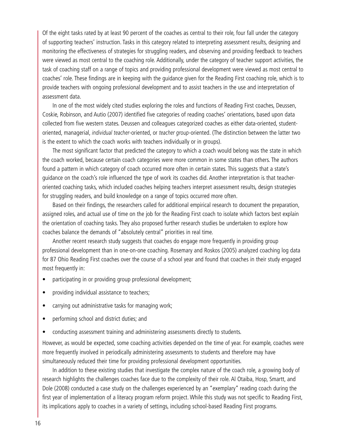Of the eight tasks rated by at least 90 percent of the coaches as central to their role, four fall under the category of supporting teachers' instruction. Tasks in this category related to interpreting assessment results, designing and monitoring the effectiveness of strategies for struggling readers, and observing and providing feedback to teachers were viewed as most central to the coaching role. Additionally, under the category of teacher support activities, the task of coaching staff on a range of topics and providing professional development were viewed as most central to coaches' role. These findings are in keeping with the guidance given for the Reading First coaching role, which is to provide teachers with ongoing professional development and to assist teachers in the use and interpretation of assessment data.

In one of the most widely cited studies exploring the roles and functions of Reading First coaches, Deussen, Coskie, Robinson, and Autio (2007) identified five categories of reading coaches' orientations, based upon data collected from five western states. Deussen and colleagues categorized coaches as either data-oriented, studentoriented, managerial, *individual teacher*-oriented, or *teacher group*-oriented. (The distinction between the latter two is the extent to which the coach works with teachers individually or in groups).

The most significant factor that predicted the category to which a coach would belong was the state in which the coach worked, because certain coach categories were more common in some states than others. The authors found a pattern in which category of coach occurred more often in certain states. This suggests that a state's guidance on the coach's role influenced the type of work its coaches did. Another interpretation is that teacheroriented coaching tasks, which included coaches helping teachers interpret assessment results, design strategies for struggling readers, and build knowledge on a range of topics occurred more often.

Based on their findings, the researchers called for additional empirical research to document the preparation, assigned roles, and actual use of time on the job for the Reading First coach to isolate which factors best explain the orientation of coaching tasks. They also proposed further research studies be undertaken to explore how coaches balance the demands of "absolutely central" priorities in real time.

Another recent research study suggests that coaches do engage more frequently in providing group professional development than in one-on-one coaching. Rosemary and Roskos (2005) analyzed coaching log data for 87 Ohio Reading First coaches over the course of a school year and found that coaches in their study engaged most frequently in:

- participating in or providing group professional development;
- providing individual assistance to teachers;
- carrying out administrative tasks for managing work;
- performing school and district duties; and
- conducting assessment training and administering assessments directly to students.

However, as would be expected, some coaching activities depended on the time of year. For example, coaches were more frequently involved in periodically administering assessments to students and therefore may have simultaneously reduced their time for providing professional development opportunities.

In addition to these existing studies that investigate the complex nature of the coach role, a growing body of research highlights the challenges coaches face due to the complexity of their role. Al Otaiba, Hosp, Smartt, and Dole (2008) conducted a case study on the challenges experienced by an "exemplary" reading coach during the first year of implementation of a literacy program reform project. While this study was not specific to Reading First, its implications apply to coaches in a variety of settings, including school-based Reading First programs.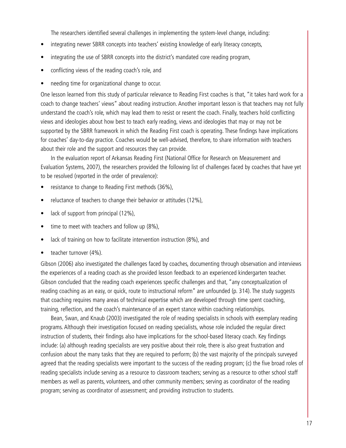The researchers identified several challenges in implementing the system-level change, including:

- integrating newer SBRR concepts into teachers' existing knowledge of early literacy concepts,
- integrating the use of SBRR concepts into the district's mandated core reading program,
- conflicting views of the reading coach's role, and
- needing time for organizational change to occur.

One lesson learned from this study of particular relevance to Reading First coaches is that, "it takes hard work for a coach to change teachers' views" about reading instruction. Another important lesson is that teachers may not fully understand the coach's role, which may lead them to resist or resent the coach. Finally, teachers hold conflicting views and ideologies about how best to teach early reading, views and ideologies that may or may not be supported by the SBRR framework in which the Reading First coach is operating. These findings have implications for coaches' day-to-day practice. Coaches would be well-advised, therefore, to share information with teachers about their role and the support and resources they can provide.

In the evaluation report of Arkansas Reading First (National Office for Research on Measurement and Evaluation Systems, 2007), the researchers provided the following list of challenges faced by coaches that have yet to be resolved (reported in the order of prevalence):

- resistance to change to Reading First methods (36%),
- reluctance of teachers to change their behavior or attitudes (12%),
- lack of support from principal (12%),
- time to meet with teachers and follow up (8%),
- lack of training on how to facilitate intervention instruction (8%), and
- teacher turnover (4%).

Gibson (2006) also investigated the challenges faced by coaches, documenting through observation and interviews the experiences of a reading coach as she provided lesson feedback to an experienced kindergarten teacher. Gibson concluded that the reading coach experiences specific challenges and that, "any conceptualization of reading coaching as an easy, or quick, route to instructional reform" are unfounded (p. 314). The study suggests that coaching requires many areas of technical expertise which are developed through time spent coaching, training, reflection, and the coach's maintenance of an expert stance within coaching relationships.

Bean, Swan, and Knaub (2003) investigated the role of reading specialists in schools with exemplary reading programs. Although their investigation focused on reading specialists, whose role included the regular direct instruction of students, their findings also have implications for the school-based literacy coach. Key findings include: (a) although reading specialists are very positive about their role, there is also great frustration and confusion about the many tasks that they are required to perform; (b) the vast majority of the principals surveyed agreed that the reading specialists were important to the success of the reading program; (c) the five broad roles of reading specialists include serving as a resource to classroom teachers; serving as a resource to other school staff members as well as parents, volunteers, and other community members; serving as coordinator of the reading program; serving as coordinator of assessment; and providing instruction to students.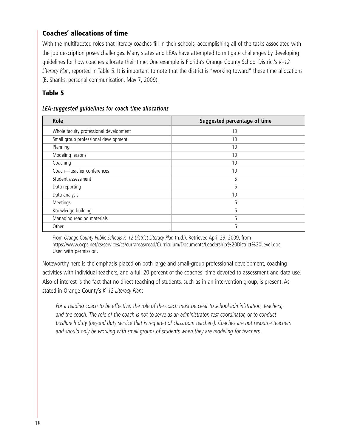## **Coaches' allocations of time**

With the multifaceted roles that literacy coaches fill in their schools, accomplishing all of the tasks associated with the job description poses challenges. Many states and LEAs have attempted to mitigate challenges by developing guidelines for how coaches allocate their time. One example is Florida's Orange County School District's *K–12 Literacy Plan*, reported in Table 5. It is important to note that the district is "working toward" these time allocations (E. Shanks, personal communication, May 7, 2009).

## **Table 5**

#### *LEA-suggested guidelines for coach time allocations*

| Role                                   | Suggested percentage of time |
|----------------------------------------|------------------------------|
| Whole faculty professional development | 10                           |
| Small group professional development   | 10                           |
| Planning                               | 10                           |
| Modeling lessons                       | 10                           |
| Coaching                               | 10                           |
| Coach-teacher conferences              | 10                           |
| Student assessment                     | 5                            |
| Data reporting                         | 5                            |
| Data analysis                          | 10                           |
| Meetings                               | 5                            |
| Knowledge building                     | 5                            |
| Managing reading materials             | 5                            |
| Other                                  | 5                            |

From *Orange County Public Schools K–12 District Literacy Plan* (n.d.). Retrieved April 29, 2009, from https://www.ocps.net/cs/services/cs/currareas/read/Curriculum/Documents/Leadership%20District%20Level.doc. Used with permission.

Noteworthy here is the emphasis placed on both large and small-group professional development, coaching activities with individual teachers, and a full 20 percent of the coaches' time devoted to assessment and data use. Also of interest is the fact that no direct teaching of students, such as in an intervention group, is present. As stated in Orange County's *K–12 Literacy Plan*:

*For a reading coach to be effective, the role of the coach must be clear to school administration, teachers, and the coach. The role of the coach is not to serve as an administrator, test coordinator, or to conduct bus/lunch duty (beyond duty service that is required of classroom teachers). Coaches are not resource teachers and should only be working with small groups of students when they are modeling for teachers.*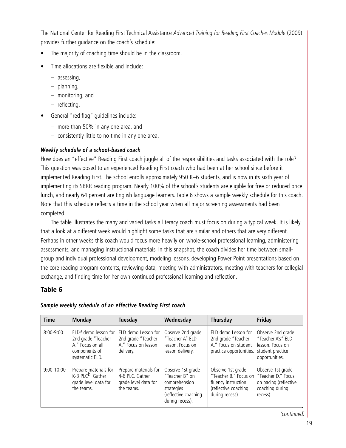The National Center for Reading First Technical Assistance *Advanced Training for Reading First Coaches Module* (2009) provides further guidance on the coach's schedule:

- The majority of coaching time should be in the classroom.
- Time allocations are flexible and include:
	- assessing,
	- planning,
	- monitoring, and
	- reflecting.
- General "red flag" guidelines include:
	- more than 50% in any one area, and
	- consistently little to no time in any one area.

#### *Weekly schedule of a school-based coach*

How does an "effective" Reading First coach juggle all of the responsibilities and tasks associated with the role? This question was posed to an experienced Reading First coach who had been at her school since before it implemented Reading First. The school enrolls approximately 950 K–6 students, and is now in its sixth year of implementing its SBRR reading program. Nearly 100% of the school's students are eligible for free or reduced price lunch, and nearly 64 percent are English language learners. Table 6 shows a sample weekly schedule for this coach. Note that this schedule reflects a time in the school year when all major screening assessments had been completed.

The table illustrates the many and varied tasks a literacy coach must focus on during a typical week. It is likely that a look at a different week would highlight some tasks that are similar and others that are very different. Perhaps in other weeks this coach would focus more heavily on whole-school professional learning, administering assessments, and managing instructional materials. In this snapshot, the coach divides her time between smallgroup and individual professional development, modeling lessons, developing Power Point presentations based on the core reading program contents, reviewing data, meeting with administrators, meeting with teachers for collegial exchange, and finding time for her own continued professional learning and reflection.

## **Table 6**

| <b>Time</b>    | <b>Monday</b>                                                                                                  | Tuesday                                                                        | Wednesday                                                                                                     | <b>Thursday</b>                                                                                                                 | Friday                                                                                           |
|----------------|----------------------------------------------------------------------------------------------------------------|--------------------------------------------------------------------------------|---------------------------------------------------------------------------------------------------------------|---------------------------------------------------------------------------------------------------------------------------------|--------------------------------------------------------------------------------------------------|
| $8:00 - 9:00$  | ELD <sup>a</sup> demo lesson for<br>2nd grade "Teacher<br>A." Focus on all<br>components of<br>systematic ELD. | ELD demo Lesson for<br>2nd grade "Teacher<br>A." Focus on lesson<br>delivery.  | Observe 2nd grade<br>"Teacher A" ELD<br>lesson. Focus on<br>lesson delivery.                                  | ELD demo Lesson for<br>2nd grade "Teacher<br>A." Focus on student<br>practice opportunities.                                    | Observe 2nd grade<br>"Teacher A's" ELD<br>lesson. Focus on<br>student practice<br>opportunities. |
| $9:00 - 10:00$ | Prepare materials for<br>K-3 PLC <sup>b</sup> . Gather<br>grade level data for<br>the teams.                   | Prepare materials for<br>4-6 PLC. Gather<br>grade level data for<br>the teams. | Observe 1st grade<br>"Teacher B" on<br>comprehension<br>strategies<br>(reflective coaching<br>during recess). | Observe 1st grade<br>"Teacher B." Focus on "Teacher D." Focus<br>fluency instruction<br>(reflective coaching<br>during recess). | Observe 1st grade<br>on pacing (reflective<br>coaching during<br>recess).                        |

#### *Sample weekly schedule of an effective Reading First coach*

*(continued)*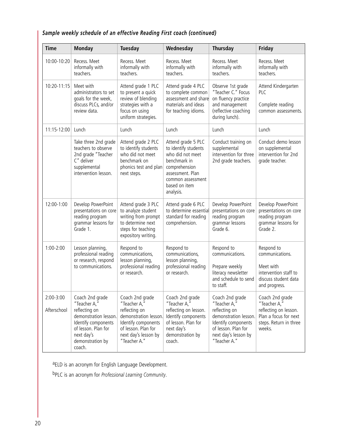## *Sample weekly schedule of an effective Reading First coach (continued)*

| <b>Time</b>              | <b>Monday</b>                                                                                                                                                       | <b>Tuesday</b>                                                                                                                                                                                                                                  | Wednesday                                                                                                                                                              | <b>Thursday</b>                                                                                                                                                 | Friday                                                                                                                |
|--------------------------|---------------------------------------------------------------------------------------------------------------------------------------------------------------------|-------------------------------------------------------------------------------------------------------------------------------------------------------------------------------------------------------------------------------------------------|------------------------------------------------------------------------------------------------------------------------------------------------------------------------|-----------------------------------------------------------------------------------------------------------------------------------------------------------------|-----------------------------------------------------------------------------------------------------------------------|
| 10:00-10:20              | Recess. Meet<br>informally with<br>teachers.                                                                                                                        | Recess. Meet<br>informally with<br>teachers.                                                                                                                                                                                                    | Recess. Meet<br>informally with<br>teachers.                                                                                                                           | Recess. Meet<br>informally with<br>teachers.                                                                                                                    | Recess. Meet<br>informally with<br>teachers.                                                                          |
| $10:20 - 11:15$          | Meet with<br>administrators to set<br>goals for the week,<br>discuss PLCs, and/or<br>review data.                                                                   | Attend grade 4 PLC<br>Attend grade 1 PLC<br>to present a quick<br>to complete common<br>review of blending<br>assessment and share<br>strategies with a<br>materials and ideas<br>focus on using<br>for teaching idioms.<br>uniform strategies. |                                                                                                                                                                        | Observe 1st grade<br>"Teacher C." Focus<br>on fluency practice<br>and management<br>(reflective coaching<br>during lunch).                                      | Attend Kindergarten<br>PLC<br>Complete reading<br>common assessments.                                                 |
| $11:15 - 12:00$          | Lunch                                                                                                                                                               | Lunch                                                                                                                                                                                                                                           | Lunch                                                                                                                                                                  | Lunch                                                                                                                                                           | Lunch                                                                                                                 |
|                          | Take three 2nd grade<br>teachers to observe<br>2nd grade "Teacher<br>C" deliver<br>supplemental<br>intervention lesson.                                             | Attend grade 2 PLC<br>to identify students<br>who did not meet<br>benchmark on<br>phonics test and plan<br>next steps.                                                                                                                          | Attend grade 5 PLC<br>to identify students<br>who did not meet<br>benchmark in<br>comprehension<br>assessment. Plan<br>common assessment<br>based on item<br>analysis. | Conduct training on<br>supplemental<br>intervention for three<br>2nd grade teachers.                                                                            | Conduct demo lesson<br>on supplemental<br>intervention for 2nd<br>grade teacher.                                      |
| 12:00-1:00               | Develop PowerPoint<br>presentations on core<br>reading program<br>grammar lessons for<br>Grade 1.                                                                   | Attend grade 3 PLC<br>to analyze student<br>writing from prompt<br>to determine next<br>steps for teaching<br>expository writing.                                                                                                               | Attend grade 6 PLC<br>to determine essential<br>standard for reading<br>comprehension.                                                                                 | Develop PowerPoint<br>presentations on core<br>reading program<br>grammar lessons<br>Grade 6.                                                                   | Develop PowerPoint<br>presentations on core<br>reading program<br>grammar lessons for<br>Grade 2.                     |
| $1:00-2:00$              | Lesson planning,<br>professional reading<br>or research, respond<br>to communications.                                                                              | Respond to<br>communications,<br>lesson planning,<br>professional reading<br>or research.                                                                                                                                                       | Respond to<br>communications,<br>lesson planning,<br>professional reading<br>or research.                                                                              | Respond to<br>communications.<br>Prepare weekly<br>literacy newsletter<br>and schedule to send<br>to staff.                                                     | Respond to<br>communications.<br>Meet with<br>intervention staff to<br>discuss student data<br>and progress.          |
| 2:00-3:00<br>Afterschool | Coach 2nd grade<br>"Teacher A,"<br>reflecting on<br>demonstration lesson.<br>Identify components<br>of lesson. Plan for<br>next day's<br>demonstration by<br>coach. | Coach 2nd grade<br>"Teacher A,"<br>reflecting on<br>demonstration lesson.<br>Identify components<br>of lesson. Plan for<br>next day's lesson by<br>"Teacher A."                                                                                 | Coach 2nd grade<br>"Teacher A,"<br>reflecting on lesson.<br>Identify components<br>of lesson. Plan for<br>next day's<br>demonstration by<br>coach.                     | Coach 2nd grade<br>"Teacher A,"<br>reflecting on<br>demonstration lesson.<br>Identify components<br>of lesson. Plan for<br>next day's lesson by<br>"Teacher A." | Coach 2nd grade<br>"Teacher A,"<br>reflecting on lesson.<br>Plan a focus for next<br>steps. Return in three<br>weeks. |

aELD is an acronym for English Language Development.

bPLC is an acronym for *Professional Learning Community*.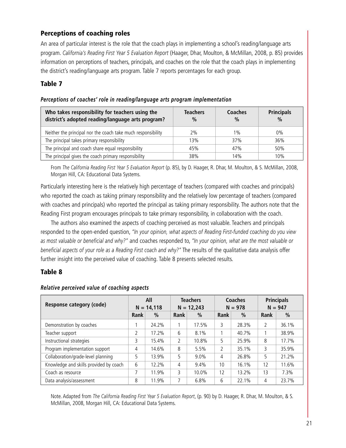## **Perceptions of coaching roles**

An area of particular interest is the role that the coach plays in implementing a school's reading/language arts program. *California's Reading First Year 5 Evaluation Report* (Haager, Dhar, Moulton, & McMillan, 2008, p. 85) provides information on perceptions of teachers, principals, and coaches on the role that the coach plays in implementing the district's reading/language arts program. Table 7 reports percentages for each group.

## **Table 7**

| Who takes responsibility for teachers using the<br>district's adopted reading/language arts program? | <b>Teachers</b><br>$\%$ | <b>Coaches</b><br>$\frac{0}{0}$ | <b>Principals</b><br>$\frac{0}{0}$ |
|------------------------------------------------------------------------------------------------------|-------------------------|---------------------------------|------------------------------------|
| Neither the principal nor the coach take much responsibility                                         | 2%                      | $1\%$                           | $0\%$                              |
| The principal takes primary responsibility                                                           | 13%                     | 37%                             | 36%                                |
| The principal and coach share equal responsibility                                                   | 45%                     | 47%                             | 50%                                |
| The principal gives the coach primary responsibility                                                 | 38%                     | 14%                             | 10%                                |

#### *Perceptions of coaches' role in reading/language arts program implementation*

From *The California Reading First Year 5 Evaluation Report* (p. 85), by D. Haager, R. Dhar, M. Moulton, & S. McMillan, 2008, Morgan Hill, CA: Educational Data Systems.

Particularly interesting here is the relatively high percentage of teachers (compared with coaches and principals) who reported the coach as taking primary responsibility and the relatively low percentage of teachers (compared with coaches and principals) who reported the principal as taking primary responsibility. The authors note that the Reading First program encourages principals to take primary responsibility, in collaboration with the coach.

The authors also examined the aspects of coaching perceived as most valuable. Teachers and principals responded to the open-ended question, *"In your opinion, what aspects of Reading First-funded coaching do you view as most valuable or beneficial and why?"* and coaches responded to, *"In your opinion, what are the most valuable or beneficial aspects of your role as a Reading First coach and why?"* The results of the qualitative data analysis offer further insight into the perceived value of coaching. Table 8 presents selected results.

#### **Table 8**

| Response category (code)               | All<br>$N = 14,118$ |               | <b>Teachers</b><br>$N = 12,243$ |         | <b>Coaches</b><br>$N = 978$ |       | <b>Principals</b><br>$N = 947$ |               |
|----------------------------------------|---------------------|---------------|---------------------------------|---------|-----------------------------|-------|--------------------------------|---------------|
|                                        | Rank                | $\frac{0}{0}$ | Rank                            | %       | Rank                        | $\%$  | Rank                           | $\frac{0}{0}$ |
| Demonstration by coaches               |                     | 24.2%         |                                 | 17.5%   | 3                           | 28.3% | 2                              | 36.1%         |
| Teacher support                        | $\mathfrak{D}$      | 17.2%         | 6                               | 8.1%    |                             | 40.7% |                                | 38.9%         |
| Instructional strategies               | 3                   | 15.4%         | $\overline{2}$                  | 10.8%   | 5                           | 25.9% | 8                              | 17.7%         |
| Program implementation support         | 4                   | 14.6%         | 8                               | 5.5%    | 2                           | 35.1% | 3                              | 35.9%         |
| Collaboration/grade-level planning     | 5                   | 13.9%         | 5                               | $9.0\%$ | 4                           | 26.8% | 5                              | 21.2%         |
| Knowledge and skills provided by coach | 6                   | 12.2%         | $\overline{4}$                  | 9.4%    | 10                          | 16.1% | 12                             | 11.6%         |
| Coach as resource                      | 7                   | 11.9%         | 3                               | 10.0%   | 12                          | 13.2% | 13                             | 7.3%          |
| Data analysis/assessment               | 8                   | 11.9%         | 7                               | 6.8%    | 6                           | 22.1% | 4                              | 23.7%         |

#### *Relative perceived value of coaching aspects*

Note. Adapted from *The California Reading First Year 5 Evaluation Report*, (p. 90) by D. Haager, R. Dhar, M. Moulton, & S. McMillan, 2008, Morgan Hill, CA: Educational Data Systems.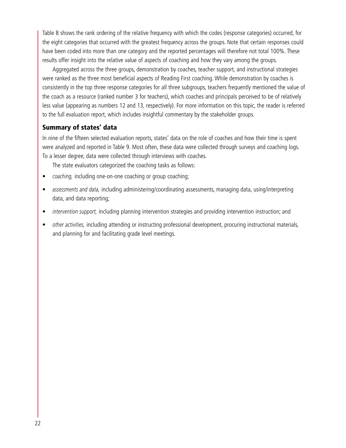Table 8 shows the rank ordering of the relative frequency with which the codes (response categories) occurred, for the eight categories that occurred with the greatest frequency across the groups. Note that certain responses could have been coded into more than one category and the reported percentages will therefore not total 100%. These results offer insight into the relative value of aspects of coaching and how they vary among the groups.

Aggregated across the three groups, demonstration by coaches, teacher support, and instructional strategies were ranked as the three most beneficial aspects of Reading First coaching. While demonstration by coaches is consistently in the top three response categories for all three subgroups, teachers frequently mentioned the value of the coach as a resource (ranked number 3 for teachers), which coaches and principals perceived to be of relatively less value (appearing as numbers 12 and 13, respectively). For more information on this topic, the reader is referred to the full evaluation report, which includes insightful commentary by the stakeholder groups.

#### **Summary of states' data**

In nine of the fifteen selected evaluation reports, states' data on the role of coaches and how their time is spent were analyzed and reported in Table 9. Most often, these data were collected through surveys and coaching logs. To a lesser degree, data were collected through interviews with coaches.

The state evaluators categorized the coaching tasks as follows:

- *coaching,* including one-on-one coaching or group coaching;
- *assessments and data,* including administering/coordinating assessments, managing data, using/interpreting data, and data reporting;
- *intervention support,* including planning intervention strategies and providing intervention instruction; and
- *other activities,* including attending or instructing professional development, procuring instructional materials, and planning for and facilitating grade level meetings.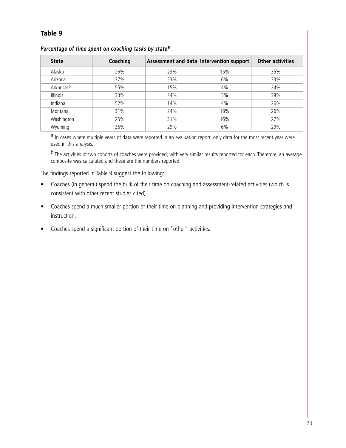## **Table 9**

| <b>State</b>          | Coaching |     | Assessment and data Intervention support | Other activities |
|-----------------------|----------|-----|------------------------------------------|------------------|
| Alaska                | 26%      | 23% | 15%                                      | 35%              |
| Arizona               | 37%      | 23% | 6%                                       | 33%              |
| Arkansas <sup>b</sup> | 55%      | 15% | 4%                                       | 24%              |
| Illinois              | 33%      | 24% | 5%                                       | 38%              |
| Indiana               | 52%      | 14% | 4%                                       | 26%              |
| Montana               | 31%      | 24% | 18%                                      | 26%              |
| Washington            | 25%      | 31% | 16%                                      | 27%              |
| Wyoming               | 36%      | 29% | 6%                                       | 29%              |

#### *Percentage of time spent on coaching tasks by state<sup>a</sup>*

a In cases where multiple years of data were reported in an evaluation report, only data for the most recent year were used in this analysis.

b The activities of two cohorts of coaches were provided, with very similar results reported for each. Therefore, an average composite was calculated and these are the numbers reported.

The findings reported in Table 9 suggest the following:

- Coaches (in general) spend the bulk of their time on coaching and assessment-related activities (which is consistent with other recent studies cited).
- Coaches spend a much smaller portion of their time on planning and providing intervention strategies and instruction.
- Coaches spend a significant portion of their time on "other" activities.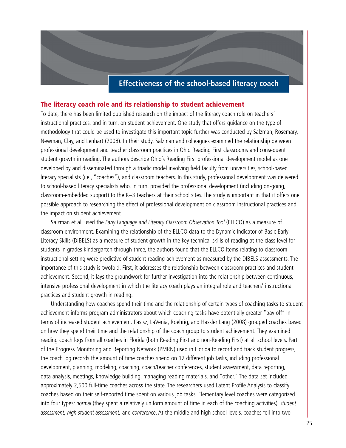## **Effectiveness of the school-based literacy coach**

#### **The literacy coach role and its relationship to student achievement**

To date, there has been limited published research on the impact of the literacy coach role on teachers' instructional practices, and in turn, on student achievement. One study that offers guidance on the type of methodology that could be used to investigate this important topic further was conducted by Salzman, Rosemary, Newman, Clay, and Lenhart (2008). In their study, Salzman and colleagues examined the relationship between professional development and teacher classroom practices in Ohio Reading First classrooms and consequent student growth in reading. The authors describe Ohio's Reading First professional development model as one developed by and disseminated through a triadic model involving field faculty from universities, school-based literacy specialists (i.e., "coaches"), and classroom teachers. In this study, professional development was delivered to school-based literacy specialists who, in turn, provided the professional development (including on-going, classroom-embedded support) to the K–3 teachers at their school sites. The study is important in that it offers one possible approach to researching the effect of professional development on classroom instructional practices and the impact on student achievement.

Salzman et al. used the *Early Language and Literacy Classroom Observation Tool* (ELLCO) as a measure of classroom environment. Examining the relationship of the ELLCO data to the Dynamic Indicator of Basic Early Literacy Skills (DIBELS) as a measure of student growth in the key technical skills of reading at the class level for students in grades kindergarten through three, the authors found that the ELLCO items relating to classroom instructional setting were predictive of student reading achievement as measured by the DIBELS assessments. The importance of this study is twofold. First, it addresses the relationship between classroom practices and student achievement. Second, it lays the groundwork for further investigation into the relationship between continuous, intensive professional development in which the literacy coach plays an integral role and teachers' instructional practices and student growth in reading.

Understanding how coaches spend their time and the relationship of certain types of coaching tasks to student achievement informs program administrators about which coaching tasks have potentially greater "pay off" in terms of increased student achievement. Pasisz, LaVenia, Roehrig, and Hassler Lang (2008) grouped coaches based on how they spend their time and the relationship of the coach group to student achievement. They examined reading coach logs from all coaches in Florida (both Reading First and non-Reading First) at all school levels. Part of the Progress Monitoring and Reporting Network (PMRN) used in Florida to record and track student progress, the coach log records the amount of time coaches spend on 12 different job tasks, including professional development, planning, modeling, coaching, coach/teacher conferences, student assessment, data reporting, data analysis, meetings, knowledge building, managing reading materials, and "other." The data set included approximately 2,500 full-time coaches across the state. The researchers used Latent Profile Analysis to classify coaches based on their self-reported time spent on various job tasks. Elementary level coaches were categorized into four types: *normal* (they spent a relatively uniform amount of time in each of the coaching activities), *student assessment, high student assessment,* and *conference*. At the middle and high school levels, coaches fell into two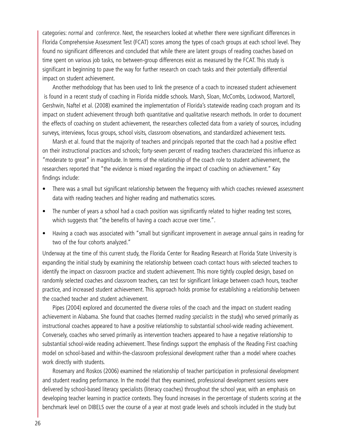categories: *normal* and *conference*. Next, the researchers looked at whether there were significant differences in Florida Comprehensive Assessment Test (FCAT) scores among the types of coach groups at each school level. They found no significant differences and concluded that while there are latent groups of reading coaches based on time spent on various job tasks, no between-group differences exist as measured by the FCAT. This study is significant in beginning to pave the way for further research on coach tasks and their potentially differential impact on student achievement.

Another methodology that has been used to link the presence of a coach to increased student achievement is found in a recent study of coaching in Florida middle schools. Marsh, Sloan, McCombs, Lockwood, Martorell, Gershwin, Naftel et al. (2008) examined the implementation of Florida's statewide reading coach program and its impact on student achievement through both quantitative and qualitative research methods. In order to document the effects of coaching on student achievement, the researchers collected data from a variety of sources, including surveys, interviews, focus groups, school visits, classroom observations, and standardized achievement tests.

Marsh et al. found that the majority of teachers and principals reported that the coach had a positive effect on their instructional practices and schools; forty-seven percent of reading teachers characterized this influence as "moderate to great" in magnitude. In terms of the relationship of the coach role to student achievement, the researchers reported that "the evidence is mixed regarding the impact of coaching on achievement." Key findings include:

- There was a small but significant relationship between the frequency with which coaches reviewed assessment data with reading teachers and higher reading and mathematics scores.
- The number of years a school had a coach position was significantly related to higher reading test scores, which suggests that "the benefits of having a coach accrue over time.".
- Having a coach was associated with "small but significant improvement in average annual gains in reading for two of the four cohorts analyzed."

Underway at the time of this current study, the Florida Center for Reading Research at Florida State University is expanding the initial study by examining the relationship between coach contact hours with selected teachers to identify the impact on classroom practice and student achievement. This more tightly coupled design, based on randomly selected coaches and classroom teachers, can test for significant linkage between coach hours, teacher practice, and increased student achievement. This approach holds promise for establishing a relationship between the coached teacher and student achievement.

Pipes (2004) explored and documented the diverse roles of the coach and the impact on student reading achievement in Alabama. She found that coaches (termed *reading specialists* in the study) who served primarily as instructional coaches appeared to have a positive relationship to substantial school-wide reading achievement. Conversely, coaches who served primarily as intervention teachers appeared to have a negative relationship to substantial school-wide reading achievement. These findings support the emphasis of the Reading First coaching model on school-based and within-the-classroom professional development rather than a model where coaches work directly with students.

Rosemary and Roskos (2006) examined the relationship of teacher participation in professional development and student reading performance. In the model that they examined, professional development sessions were delivered by school-based literacy specialists (literacy coaches) throughout the school year, with an emphasis on developing teacher learning in practice contexts. They found increases in the percentage of students scoring at the benchmark level on DIBELS over the course of a year at most grade levels and schools included in the study but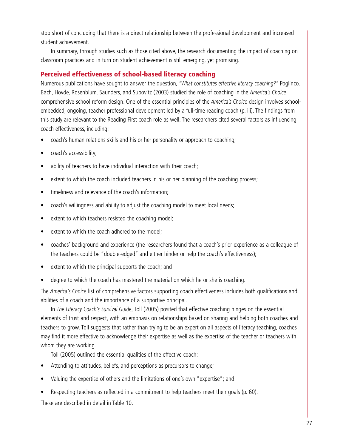stop short of concluding that there is a direct relationship between the professional development and increased student achievement.

In summary, through studies such as those cited above, the research documenting the impact of coaching on classroom practices and in turn on student achievement is still emerging, yet promising.

#### **Perceived effectiveness of school-based literacy coaching**

Numerous publications have sought to answer the question, *"What constitutes effective literacy coaching?"* Poglinco, Bach, Hovde, Rosenblum, Saunders, and Supovitz (2003) studied the role of coaching in the *America's Choice* comprehensive school reform design. One of the essential principles of the *America's Choice* design involves schoolembedded, ongoing, teacher professional development led by a full-time reading coach (p. iii). The findings from this study are relevant to the Reading First coach role as well. The researchers cited several factors as influencing coach effectiveness, including:

- coach's human relations skills and his or her personality or approach to coaching;
- coach's accessibility;
- ability of teachers to have individual interaction with their coach;
- extent to which the coach included teachers in his or her planning of the coaching process;
- timeliness and relevance of the coach's information;
- coach's willingness and ability to adjust the coaching model to meet local needs;
- extent to which teachers resisted the coaching model;
- extent to which the coach adhered to the model:
- coaches' background and experience (the researchers found that a coach's prior experience as a colleague of the teachers could be "double-edged" and either hinder or help the coach's effectiveness);
- extent to which the principal supports the coach; and
- degree to which the coach has mastered the material on which he or she is coaching.

The *America's Choice* list of comprehensive factors supporting coach effectiveness includes both qualifications and abilities of a coach and the importance of a supportive principal.

In *The Literacy Coach's Survival Guide*, Toll (2005) posited that effective coaching hinges on the essential elements of trust and respect, with an emphasis on relationships based on sharing and helping both coaches and teachers to grow. Toll suggests that rather than trying to be an expert on all aspects of literacy teaching, coaches may find it more effective to acknowledge their expertise as well as the expertise of the teacher or teachers with whom they are working.

Toll (2005) outlined the essential qualities of the effective coach:

- Attending to attitudes, beliefs, and perceptions as precursors to change;
- Valuing the expertise of others and the limitations of one's own "expertise"; and
- Respecting teachers as reflected in a commitment to help teachers meet their goals (p. 60).

These are described in detail in Table 10.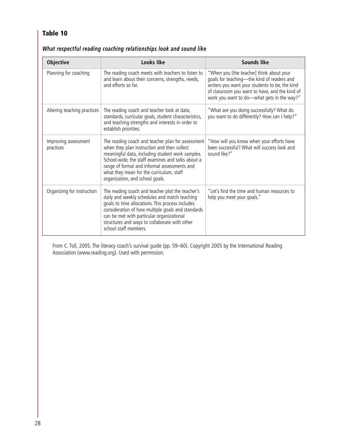## **Table 10**

| <b>Objective</b>                  | Looks like                                                                                                                                                                                                                                                                                                                               | <b>Sounds like</b>                                                                                                                                                                                                                       |
|-----------------------------------|------------------------------------------------------------------------------------------------------------------------------------------------------------------------------------------------------------------------------------------------------------------------------------------------------------------------------------------|------------------------------------------------------------------------------------------------------------------------------------------------------------------------------------------------------------------------------------------|
| Planning for coaching             | The reading coach meets with teachers to listen to<br>and learn about their concerns, strengths, needs,<br>and efforts so far.                                                                                                                                                                                                           | "When you [the teacher] think about your<br>goals for teaching—the kind of readers and<br>writers you want your students to be, the kind<br>of classroom you want to have, and the kind of<br>work you want to do-what gets in the way?" |
| Altering teaching practices       | The reading coach and teacher look at data,<br>standards, curricular goals, student characteristics,<br>and teaching strengths and interests in order to<br>establish priorities.                                                                                                                                                        | "What are you doing successfully? What do<br>you want to do differently? How can I help?"                                                                                                                                                |
| Improving assessment<br>practices | The reading coach and teacher plan for assessment<br>when they plan instruction and then collect<br>meaningful data, including student work samples.<br>School-wide, the staff examines and talks about a<br>range of formal and informal assessments and<br>what they mean for the curriculum, staff<br>organization, and school goals. | "How will you know when your efforts have<br>been successful? What will success look and<br>sound like?"                                                                                                                                 |
| Organizing for instruction        | The reading coach and teacher plot the teacher's<br>daily and weekly schedules and match teaching<br>goals to time allocations. This process includes<br>consideration of how multiple goals and standards<br>can be met with particular organizational<br>structures and ways to collaborate with other<br>school staff members.        | "Let's find the time and human resources to<br>help you meet your goals."                                                                                                                                                                |

## *What respectful reading coaching relationships look and sound like*

From C. Toll, 2005. The literacy coach's survival guide (pp. 59–60). Copyright 2005 by the International Reading Association (www.reading.org). Used with permission.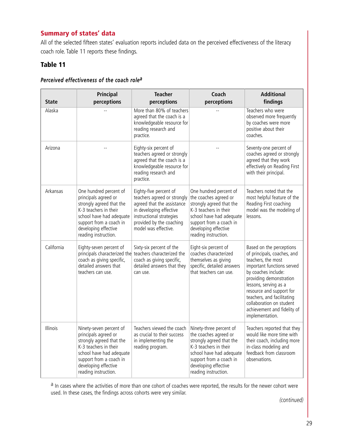## **Summary of states' data**

All of the selected fifteen states' evaluation reports included data on the perceived effectiveness of the literacy coach role. Table 11 reports these findings.

## **Table 11**

| <b>State</b> | Principal<br>perceptions                                                                                                                                                                                    | <b>Teacher</b><br>perceptions                                                                                                                                                                  | Coach<br>perceptions                                                                                                                                                                                         | <b>Additional</b><br>findings                                                                                                                                                                                                                                                                                                  |
|--------------|-------------------------------------------------------------------------------------------------------------------------------------------------------------------------------------------------------------|------------------------------------------------------------------------------------------------------------------------------------------------------------------------------------------------|--------------------------------------------------------------------------------------------------------------------------------------------------------------------------------------------------------------|--------------------------------------------------------------------------------------------------------------------------------------------------------------------------------------------------------------------------------------------------------------------------------------------------------------------------------|
| Alaska       |                                                                                                                                                                                                             | More than 80% of teachers<br>agreed that the coach is a<br>knowledgeable resource for<br>reading research and<br>practice.                                                                     |                                                                                                                                                                                                              | Teachers who were<br>observed more frequently<br>by coaches were more<br>positive about their<br>coaches.                                                                                                                                                                                                                      |
| Arizona      |                                                                                                                                                                                                             | Eighty-six percent of<br>teachers agreed or strongly<br>agreed that the coach is a<br>knowledgeable resource for<br>reading research and<br>practice.                                          |                                                                                                                                                                                                              | Seventy-one percent of<br>coaches agreed or strongly<br>agreed that they work<br>effectively on Reading First<br>with their principal.                                                                                                                                                                                         |
| Arkansas     | One hundred percent of<br>principals agreed or<br>strongly agreed that the<br>K-3 teachers in their<br>school have had adequate<br>support from a coach in<br>developing effective<br>reading instruction.  | Eighty-five percent of<br>teachers agreed or strongly<br>agreed that the assistance<br>in developing effective<br>instructional strategies<br>provided by the coaching<br>model was effective. | One hundred percent of<br>the coaches agreed or<br>strongly agreed that the<br>K-3 teachers in their<br>school have had adequate<br>support from a coach in<br>developing effective<br>reading instruction.  | Teachers noted that the<br>most helpful feature of the<br>Reading First coaching<br>model was the modeling of<br>lessons.                                                                                                                                                                                                      |
| California   | Eighty-seven percent of<br>principals characterized the teachers characterized the<br>coach as giving specific,<br>detailed answers that<br>teachers can use.                                               | Sixty-six percent of the<br>coach as giving specific,<br>detailed answers that they<br>can use.                                                                                                | Eight-six percent of<br>coaches characterized<br>themselves as giving<br>specific, detailed answers<br>that teachers can use.                                                                                | Based on the perceptions<br>of principals, coaches, and<br>teachers, the most<br>important functions served<br>by coaches include:<br>providing demonstration<br>lessons, serving as a<br>resource and support for<br>teachers, and facilitating<br>collaboration on student<br>achievement and fidelity of<br>implementation. |
| Illinois     | Ninety-seven percent of<br>principals agreed or<br>strongly agreed that the<br>K-3 teachers in their<br>school have had adequate<br>support from a coach in<br>developing effective<br>reading instruction. | Teachers viewed the coach<br>as crucial to their success<br>in implementing the<br>reading program.                                                                                            | Ninety-three percent of<br>the coaches agreed or<br>strongly agreed that the<br>K-3 teachers in their<br>school have had adequate<br>support from a coach in<br>developing effective<br>reading instruction. | Teachers reported that they<br>would like more time with<br>their coach, including more<br>in-class modeling and<br>feedback from classroom<br>observations.                                                                                                                                                                   |

#### *Perceived effectiveness of the coach role<sup>a</sup>*

a In cases where the activities of more than one cohort of coaches were reported, the results for the newer cohort were used. In these cases, the findings across cohorts were very similar.

*(continued)*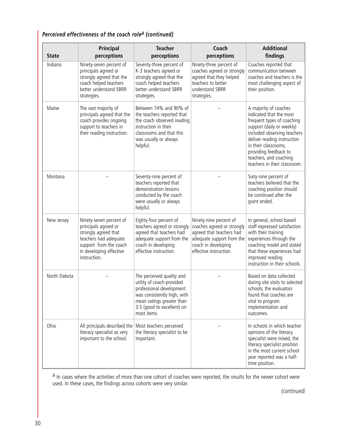## *Perceived effectiveness of the coach role<sup>a</sup> (continued)*

| <b>State</b> | Principal<br>perceptions                                                                                                                                              | <b>Teacher</b><br>perceptions                                                                                                                                                               | Coach<br>perceptions                                                                                                                                           | <b>Additional</b><br>findings                                                                                                                                                                                                                                                        |
|--------------|-----------------------------------------------------------------------------------------------------------------------------------------------------------------------|---------------------------------------------------------------------------------------------------------------------------------------------------------------------------------------------|----------------------------------------------------------------------------------------------------------------------------------------------------------------|--------------------------------------------------------------------------------------------------------------------------------------------------------------------------------------------------------------------------------------------------------------------------------------|
| Indiana      | Ninety-seven percent of<br>principals agreed or<br>strongly agreed that the<br>coach helped teachers<br>better understand SBRR<br>strategies.                         | Seventy-three percent of<br>K-3 teachers agreed or<br>strongly agreed that the<br>coach helped teachers<br>better understand SBRR<br>strategies.                                            | Ninety-three percent of<br>coaches agreed or strongly<br>agreed that they helped<br>teachers to better<br>understand SBRR<br>strategies.                       | Coaches reported that<br>communication between<br>coaches and teachers is the<br>most challenging aspect of<br>their position.                                                                                                                                                       |
| Maine        | The vast majority of<br>principals agreed that the<br>coach provides ongoing<br>support to teachers in<br>their reading instruction.                                  | Between 74% and 90% of<br>the teachers reported that<br>the coach observed reading<br>instruction in their<br>classrooms and that this<br>was usually or always<br>helpful.                 |                                                                                                                                                                | A majority of coaches<br>indicated that the most<br>frequent types of coaching<br>support (daily or weekly)<br>included observing teachers<br>deliver reading instruction<br>in their classrooms,<br>providing feedback to<br>teachers, and coaching<br>teachers in their classroom. |
| Montana      |                                                                                                                                                                       | Seventy-nine percent of<br>teachers reported that<br>demonstration lessons<br>conducted by the coach<br>were usually or always<br>helpful.                                                  |                                                                                                                                                                | Sixty-nine percent of<br>teachers believed that the<br>coaching position should<br>be continued after the<br>grant ended.                                                                                                                                                            |
| New Jersey   | Ninety-seven percent of<br>principals agreed or<br>strongly agreed that<br>teachers had adequate<br>support from the coach<br>in developing effective<br>instruction. | Eighty-four percent of<br>teachers agreed or strongly<br>agreed that teachers had<br>adequate support from the<br>coach in developing<br>effective instruction.                             | Ninety-nine percent of<br>coaches agreed or strongly<br>agreed that teachers had<br>adequate support from the<br>coach in developing<br>effective instruction. | In general, school-based<br>staff expressed satisfaction<br>with their training<br>experiences through the<br>coaching model and stated<br>that these experiences had<br>improved reading<br>instruction in their schools.                                                           |
| North Dakota |                                                                                                                                                                       | The perceived quality and<br>utility of coach-provided<br>professional development<br>was consistently high, with<br>mean ratings greater than<br>3.5 (good to excellent) on<br>most items. |                                                                                                                                                                | Based on data collected<br>during site visits to selected<br>schools, the evaluators<br>found that coaches are<br>vital to program<br>implementation and<br>outcomes.                                                                                                                |
| Ohio         | All principals described the<br>literacy specialist as very<br>important to the school.                                                                               | Most teachers perceived<br>the literacy specialist to be<br>important.                                                                                                                      |                                                                                                                                                                | In schools in which teacher<br>opinions of the literacy<br>specialist were mixed, the<br>literacy specialist position<br>in the most current school<br>year reported was a half-<br>time position.                                                                                   |

<sup>a</sup> In cases where the activities of more than one cohort of coaches were reported, the results for the newer cohort were used. In these cases, the findings across cohorts were very similar.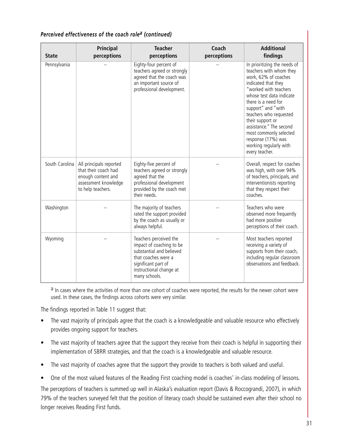| Perceived effectiveness of the coach role <sup>a</sup> (continued) |
|--------------------------------------------------------------------|
|--------------------------------------------------------------------|

| <b>State</b>   | <b>Principal</b><br>perceptions                                                                                    | <b>Teacher</b><br>perceptions                                                                                                                                            | Coach<br>perceptions | <b>Additional</b><br>findings                                                                                                                                                                                                                                                                                                                                                 |
|----------------|--------------------------------------------------------------------------------------------------------------------|--------------------------------------------------------------------------------------------------------------------------------------------------------------------------|----------------------|-------------------------------------------------------------------------------------------------------------------------------------------------------------------------------------------------------------------------------------------------------------------------------------------------------------------------------------------------------------------------------|
| Pennsylvania   |                                                                                                                    | Eighty-four percent of<br>teachers agreed or strongly<br>agreed that the coach was<br>an important source of<br>professional development.                                |                      | In prioritizing the needs of<br>teachers with whom they<br>work, 62% of coaches<br>indicated that they<br>"worked with teachers<br>whose test data indicate<br>there is a need for<br>support" and "with<br>teachers who requested<br>their support or<br>assistance." The second<br>most commonly selected<br>response (17%) was<br>working regularly with<br>every teacher. |
| South Carolina | All principals reported<br>that their coach had<br>enough content and<br>assessment knowledge<br>to help teachers. | Eighty-five percent of<br>teachers agreed or strongly<br>agreed that the<br>professional development<br>provided by the coach met<br>their needs.                        |                      | Overall, respect for coaches<br>was high, with over 94%<br>of teachers, principals, and<br>interventionists reporting<br>that they respect their<br>coaches.                                                                                                                                                                                                                  |
| Washington     |                                                                                                                    | The majority of teachers<br>rated the support provided<br>by the coach as usually or<br>always helpful.                                                                  |                      | Teachers who were<br>observed more frequently<br>had more positive<br>perceptions of their coach.                                                                                                                                                                                                                                                                             |
| Wyoming        |                                                                                                                    | Teachers perceived the<br>impact of coaching to be<br>substantial and believed<br>that coaches were a<br>significant part of<br>instructional change at<br>many schools. |                      | Most teachers reported<br>receiving a variety of<br>supports from their coach,<br>including regular classroom<br>observations and feedback.                                                                                                                                                                                                                                   |

<sup>a</sup> In cases where the activities of more than one cohort of coaches were reported, the results for the newer cohort were used. In these cases, the findings across cohorts were very similar.

The findings reported in Table 11 suggest that:

- The vast majority of principals agree that the coach is a knowledgeable and valuable resource who effectively provides ongoing support for teachers.
- The vast majority of teachers agree that the support they receive from their coach is helpful in supporting their implementation of SBRR strategies, and that the coach is a knowledgeable and valuable resource.
- The vast majority of coaches agree that the support they provide to teachers is both valued and useful.
- One of the most valued features of the Reading First coaching model is coaches' in-class modeling of lessons.

The perceptions of teachers is summed up well in Alaska's evaluation report (Davis & Roccograndi, 2007), in which 79% of the teachers surveyed felt that the position of literacy coach should be sustained even after their school no longer receives Reading First funds.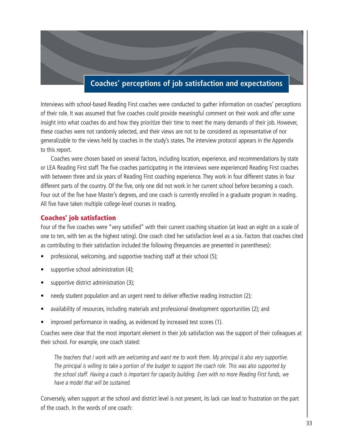# **Coaches' perceptions of job satisfaction and expectations**

Interviews with school-based Reading First coaches were conducted to gather information on coaches' perceptions of their role. It was assumed that five coaches could provide meaningful comment on their work and offer some insight into what coaches do and how they prioritize their time to meet the many demands of their job. However, these coaches were not randomly selected, and their views are not to be considered as representative of nor generalizable to the views held by coaches in the study's states. The interview protocol appears in the Appendix to this report.

Coaches were chosen based on several factors, including location, experience, and recommendations by state or LEA Reading First staff. The five coaches participating in the interviews were experienced Reading First coaches with between three and six years of Reading First coaching experience. They work in four different states in four different parts of the country. Of the five, only one did not work in her current school before becoming a coach. Four out of the five have Master's degrees, and one coach is currently enrolled in a graduate program in reading. All five have taken multiple college-level courses in reading.

## **Coaches' job satisfaction**

Four of the five coaches were "very satisfied" with their current coaching situation (at least an eight on a scale of one to ten, with ten as the highest rating). One coach cited her satisfaction level as a six. Factors that coaches cited as contributing to their satisfaction included the following (frequencies are presented in parentheses):

- professional, welcoming, and supportive teaching staff at their school (5);
- supportive school administration (4);
- supportive district administration (3);
- needy student population and an urgent need to deliver effective reading instruction (2);
- availability of resources, including materials and professional development opportunities (2); and
- improved performance in reading, as evidenced by increased test scores (1).

Coaches were clear that the most important element in their job satisfaction was the support of their colleagues at their school. For example, one coach stated:

*The teachers that I work with are welcoming and want me to work them. My principal is also very supportive. The principal is willing to take a portion of the budget to support the coach role. This was also supported by the school staff. Having a coach is important for capacity building. Even with no more Reading First funds, we have a model that will be sustained.*

Conversely, when support at the school and district level is not present, its lack can lead to frustration on the part of the coach. In the words of one coach: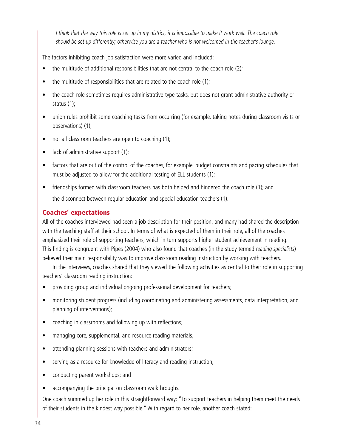*I think that the way this role is set up in my district, it is impossible to make it work well. The coach role should be set up differently; otherwise you are a teacher who is not welcomed in the teacher's lounge.*

The factors inhibiting coach job satisfaction were more varied and included:

- the multitude of additional responsibilities that are not central to the coach role (2);
- the multitude of responsibilities that are related to the coach role (1);
- the coach role sometimes requires administrative-type tasks, but does not grant administrative authority or status (1);
- union rules prohibit some coaching tasks from occurring (for example, taking notes during classroom visits or observations) (1);
- not all classroom teachers are open to coaching (1);
- lack of administrative support (1);
- factors that are out of the control of the coaches, for example, budget constraints and pacing schedules that must be adjusted to allow for the additional testing of ELL students (1);
- friendships formed with classroom teachers has both helped and hindered the coach role (1); and the disconnect between regular education and special education teachers (1).

## **Coaches' expectations**

All of the coaches interviewed had seen a job description for their position, and many had shared the description with the teaching staff at their school. In terms of what is expected of them in their role, all of the coaches emphasized their role of supporting teachers, which in turn supports higher student achievement in reading. This finding is congruent with Pipes (2004) who also found that coaches (in the study termed *reading specialists*) believed their main responsibility was to improve classroom reading instruction by working with teachers.

In the interviews, coaches shared that they viewed the following activities as central to their role in supporting teachers' classroom reading instruction:

- providing group and individual ongoing professional development for teachers;
- monitoring student progress (including coordinating and administering assessments, data interpretation, and planning of interventions);
- coaching in classrooms and following up with reflections;
- managing core, supplemental, and resource reading materials;
- attending planning sessions with teachers and administrators;
- serving as a resource for knowledge of literacy and reading instruction;
- conducting parent workshops; and
- accompanying the principal on classroom walkthroughs.

One coach summed up her role in this straightforward way: "To support teachers in helping them meet the needs of their students in the kindest way possible." With regard to her role, another coach stated: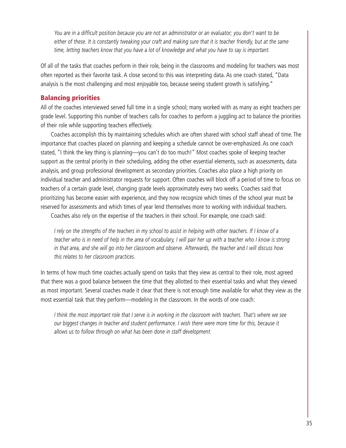*You are in a difficult position because you are not an administrator or an evaluator; you don't want to be either of these. It is constantly tweaking your craft and making sure that it is teacher friendly, but at the same time, letting teachers know that you have a lot of knowledge and what you have to say is important.*

Of all of the tasks that coaches perform in their role, being in the classrooms and modeling for teachers was most often reported as their favorite task. A close second to this was interpreting data. As one coach stated, "Data analysis is the most challenging and most enjoyable too, because seeing student growth is satisfying."

#### **Balancing priorities**

All of the coaches interviewed served full time in a single school; many worked with as many as eight teachers per grade level. Supporting this number of teachers calls for coaches to perform a juggling act to balance the priorities of their role while supporting teachers effectively.

Coaches accomplish this by maintaining schedules which are often shared with school staff ahead of time. The importance that coaches placed on planning and keeping a schedule cannot be over-emphasized. As one coach stated, "I think the key thing is planning—you can't do too much!" Most coaches spoke of keeping teacher support as the central priority in their scheduling, adding the other essential elements, such as assessments, data analysis, and group professional development as secondary priorities. Coaches also place a high priority on individual teacher and administrator requests for support. Often coaches will block off a period of time to focus on teachers of a certain grade level, changing grade levels approximately every two weeks. Coaches said that prioritizing has become easier with experience, and they now recognize which times of the school year must be reserved for assessments and which times of year lend themselves more to working with individual teachers.

Coaches also rely on the expertise of the teachers in their school. For example, one coach said:

*I rely on the strengths of the teachers in my school to assist in helping with other teachers. If I know of a teacher who is in need of help in the area of vocabulary, I will pair her up with a teacher who I know is strong in that area, and she will go into her classroom and observe. Afterwards, the teacher and I will discuss how this relates to her classroom practices.*

In terms of how much time coaches actually spend on tasks that they view as central to their role, most agreed that there was a good balance between the time that they allotted to their essential tasks and what they viewed as most important. Several coaches made it clear that there is not enough time available for what they view as the most essential task that they perform—modeling in the classroom. In the words of one coach:

*I think the most important role that I serve is in working in the classroom with teachers. That's where we see our biggest changes in teacher and student performance. I wish there were more time for this, because it allows us to follow through on what has been done in staff development.*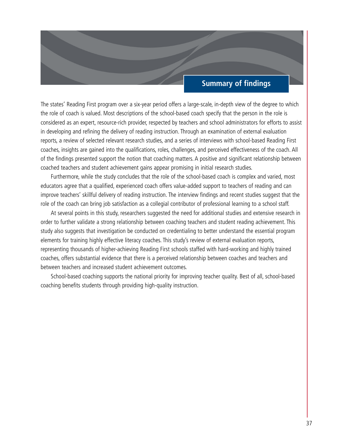# **Summary of findings**

The states' Reading First program over a six-year period offers a large-scale, in-depth view of the degree to which the role of coach is valued. Most descriptions of the school-based coach specify that the person in the role is considered as an expert, resource-rich provider, respected by teachers and school administrators for efforts to assist in developing and refining the delivery of reading instruction. Through an examination of external evaluation reports, a review of selected relevant research studies, and a series of interviews with school-based Reading First coaches, insights are gained into the qualifications, roles, challenges, and perceived effectiveness of the coach. All of the findings presented support the notion that coaching matters. A positive and significant relationship between coached teachers and student achievement gains appear promising in initial research studies.

Furthermore, while the study concludes that the role of the school-based coach is complex and varied, most educators agree that a qualified, experienced coach offers value-added support to teachers of reading and can improve teachers' skillful delivery of reading instruction. The interview findings and recent studies suggest that the role of the coach can bring job satisfaction as a collegial contributor of professional learning to a school staff.

At several points in this study, researchers suggested the need for additional studies and extensive research in order to further validate a strong relationship between coaching teachers and student reading achievement. This study also suggests that investigation be conducted on credentialing to better understand the essential program elements for training highly effective literacy coaches. This study's review of external evaluation reports, representing thousands of higher-achieving Reading First schools staffed with hard-working and highly trained coaches, offers substantial evidence that there is a perceived relationship between coaches and teachers and between teachers and increased student achievement outcomes.

School-based coaching supports the national priority for improving teacher quality. Best of all, school-based coaching benefits students through providing high-quality instruction.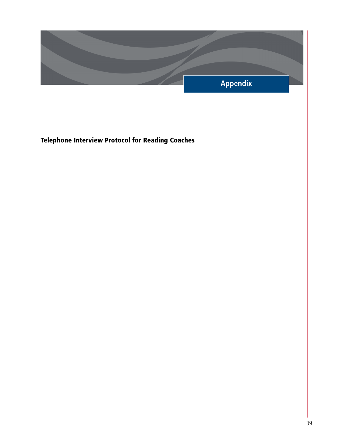

**Telephone Interview Protocol for Reading Coaches**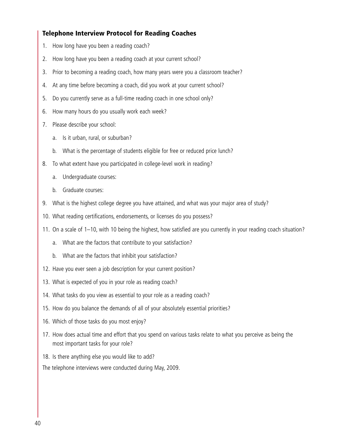## **Telephone Interview Protocol for Reading Coaches**

- 1. How long have you been a reading coach?
- 2. How long have you been a reading coach at your current school?
- 3. Prior to becoming a reading coach, how many years were you a classroom teacher?
- 4. At any time before becoming a coach, did you work at your current school?
- 5. Do you currently serve as a full-time reading coach in one school only?
- 6. How many hours do you usually work each week?
- 7. Please describe your school:
	- a. Is it urban, rural, or suburban?
	- b. What is the percentage of students eligible for free or reduced price lunch?
- 8. To what extent have you participated in college-level work in reading?
	- a. Undergraduate courses:
	- b. Graduate courses:
- 9. What is the highest college degree you have attained, and what was your major area of study?
- 10. What reading certifications, endorsements, or licenses do you possess?
- 11. On a scale of 1–10, with 10 being the highest, how satisfied are you currently in your reading coach situation?
	- a. What are the factors that contribute to your satisfaction?
	- b. What are the factors that inhibit your satisfaction?
- 12. Have you ever seen a job description for your current position?
- 13. What is expected of you in your role as reading coach?
- 14. What tasks do you view as essential to your role as a reading coach?
- 15. How do you balance the demands of all of your absolutely essential priorities?
- 16. Which of those tasks do you most enjoy?
- 17. How does actual time and effort that you spend on various tasks relate to what you perceive as being the most important tasks for your role?
- 18. Is there anything else you would like to add?

The telephone interviews were conducted during May, 2009.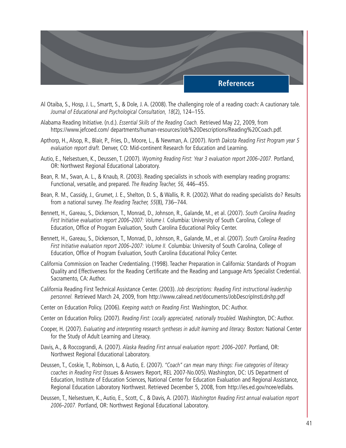

- Al Otaiba, S., Hosp, J. L., Smartt, S., & Dole, J. A. (2008). The challenging role of a reading coach: A cautionary tale. *Journal of Educational and Psychological Consultation, 18*(2), 124–155.
- Alabama Reading Initiative. (n.d.). *Essential Skills of the Reading Coach.* Retrieved May 22, 2009, from https://www.jefcoed.com/ departments/human-resources/Job%20Descriptions/Reading%20Coach.pdf.
- Apthorp, H., Alsop, R., Blair, P., Fries, D., Moore, L., & Newman, A. (2007). *North Dakota Reading First Program year 5 evaluation report draft.* Denver, CO: Mid-continent Research for Education and Learning.
- Autio, E., Nelsestuen, K., Deussen, T. (2007). *Wyoming Reading First: Year 3 evaluation report 2006–2007.* Portland, OR: Northwest Regional Educational Laboratory.
- Bean, R. M., Swan, A. L., & Knaub, R. (2003). Reading specialists in schools with exemplary reading programs: Functional, versatile, and prepared. *The Reading Teacher, 56,* 446–455.
- Bean, R. M., Cassidy, J., Grumet, J. E., Shelton, D. S., & Wallis, R. R. (2002). What do reading specialists do? Results from a national survey. *The Reading Teacher, 55*(8), 736–744.
- Bennett, H., Gareau, S., Dickenson, T., Monrad, D., Johnson, R., Galande, M., et al. (2007). *South Carolina Reading First Initiative evaluation report 2006–2007: Volume I.* Columbia: University of South Carolina, College of Education, Office of Program Evaluation, South Carolina Educational Policy Center.
- Bennett, H., Gareau, S., Dickenson, T., Monrad, D., Johnson, R., Galande, M., et al. (2007). *South Carolina Reading First Initiative evaluation report 2006–2007: Volume II.* Columbia: University of South Carolina, College of Education, Office of Program Evaluation, South Carolina Educational Policy Center.
- California Commission on Teacher Credentialing. (1998). Teacher Preparation in California: Standards of Program Quality and Effectiveness for the Reading Certificate and the Reading and Language Arts Specialist Credential. Sacramento, CA: Author.
- California Reading First Technical Assistance Center. (2003). *Job descriptions: Reading First instructional leadership personnel.* Retrieved March 24, 2009, from http://www.calread.net/documents/JobDescripInstLdrshp.pdf
- Center on Education Policy. (2006). *Keeping watch on Reading First.* Washington, DC: Author.
- Center on Education Policy. (2007). *Reading First: Locally appreciated, nationally troubled.* Washington, DC: Author.
- Cooper, H. (2007). *Evaluating and interpreting research syntheses in adult learning and literacy.* Boston: National Center for the Study of Adult Learning and Literacy.
- Davis, A., & Roccograndi, A. (2007). *Alaska Reading First annual evaluation report: 2006–2007.* Portland, OR: Northwest Regional Educational Laboratory.
- Deussen, T., Coskie, T., Robinson, L, & Autio, E. (2007). *"Coach" can mean many things: Five categories of literacy coaches in Reading First* (Issues & Answers Report, REL 2007-No.005). Washington, DC: US Department of Education, Institute of Education Sciences, National Center for Education Evaluation and Regional Assistance, Regional Education Laboratory Northwest. Retrieved December 5, 2008, from http://ies.ed.gov/ncee/edlabs.
- Deussen, T., Nelsestuen, K., Autio, E., Scott, C., & Davis, A. (2007). *Washington Reading First annual evaluation report 2006–2007.* Portland, OR: Northwest Regional Educational Laboratory.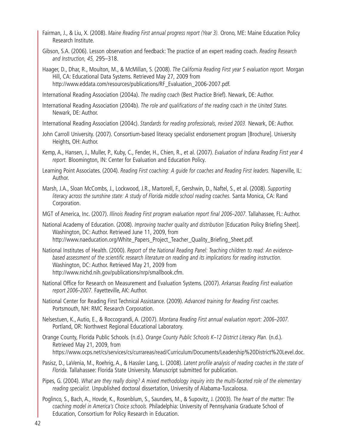- Fairman, J., & Liu, X. (2008). *Maine Reading First annual progress report (Year 3).* Orono, ME: Maine Education Policy Research Institute.
- Gibson, S.A. (2006). Lesson observation and feedback: The practice of an expert reading coach. *Reading Research and Instruction, 45,* 295–318.
- Haager, D., Dhar, R., Moulton, M., & McMillan, S. (2008). *The California Reading First year 5 evaluation report.* Morgan Hill, CA: Educational Data Systems. Retrieved May 27, 2009 from http://www.eddata.com/resources/publications/RF\_Evaluation\_2006-2007.pdf.

International Reading Association (2004a). *The reading coach* (Best Practice Brief). Newark, DE: Author.

- International Reading Association (2004b). *The role and qualifications of the reading coach in the United States.* Newark, DE: Author.
- International Reading Association (2004c). *Standards for reading professionals, revised 2003.* Newark, DE: Author.
- John Carroll University. (2007). Consortium-based literacy specialist endorsement program [Brochure]. University Heights, OH: Author.
- Kemp, A., Hansen, J., Muller, P., Kuby, C., Fender, H., Chien, R., et al. (2007). *Evaluation of Indiana Reading First year 4 report.* Bloomington, IN: Center for Evaluation and Education Policy.
- Learning Point Associates. (2004). *Reading First coaching: A guide for coaches and Reading First leaders.* Naperville, IL: Author.
- Marsh, J.A., Sloan McCombs, J., Lockwood, J.R., Martorell, F., Gershwin, D., Naftel, S., et al. (2008). *Supporting literacy across the sunshine state: A study of Florida middle school reading coaches.* Santa Monica, CA: Rand Corporation.
- MGT of America, Inc. (2007). *Illinois Reading First program evaluation report final 2006–2007.* Tallahassee, FL: Author.

National Academy of Education. (2008). *Improving teacher quality and distribution* [Education Policy Briefing Sheet]. Washington, DC: Author. Retrieved June 11, 2009, from http://www.naeducation.org/White\_Papers\_Project\_Teacher\_Quality\_Briefing\_Sheet.pdf.

- National Institutes of Health. (2000). *Report of the National Reading Panel: Teaching children to read: An evidencebased assessment of the scientific research literature on reading and its implications for reading instruction.* Washington, DC: Author. Retrieved May 21, 2009 from http://www.nichd.nih.gov/publications/nrp/smallbook.cfm.
- National Office for Research on Measurement and Evaluation Systems. (2007). *Arkansas Reading First evaluation report 2006–2007.* Fayetteville, AK: Author.
- National Center for Reading First Technical Assistance. (2009). *Advanced training for Reading First coaches.* Portsmouth, NH: RMC Research Corporation.
- Nelsestuen, K., Autio, E., & Roccograndi, A. (2007). *Montana Reading First annual evaluation report: 2006–2007.* Portland, OR: Northwest Regional Educational Laboratory.
- Orange County, Florida Public Schools. (n.d.). *Orange County Public Schools K–12 District Literacy Plan.* (n.d.). Retrieved May 21, 2009, from https://www.ocps.net/cs/services/cs/currareas/read/Curriculum/Documents/Leadership%20District%20Level.doc.
- Pasisz, D., LaVenia, M., Roehrig, A., & Hassler Lang, L. (2008). *Latent profile analysis of reading coaches in the state of Florida.* Tallahassee: Florida State University. Manuscript submitted for publication.

Pipes, G. (2004). *What are they really doing? A mixed methodology inquiry into the multi-faceted role of the elementary reading specialist.* Unpublished doctoral dissertation, University of Alabama-Tuscaloosa.

Poglinco, S., Bach, A., Hovde, K., Rosenblum, S., Saunders, M., & Supovitz, J. (2003). *The heart of the matter: The coaching model in America's Choice schools.* Philadelphia: University of Pennsylvania Graduate School of Education, Consortium for Policy Research in Education.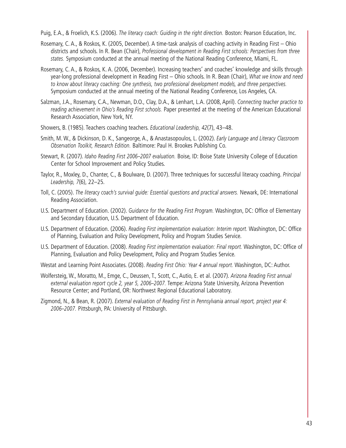Puig, E.A., & Froelich, K.S. (2006). *The literacy coach: Guiding in the right direction.* Boston: Pearson Education, Inc.

- Rosemary, C. A., & Roskos, K. (2005, December). A time-task analysis of coaching activity in Reading First Ohio districts and schools. In R. Bean (Chair), *Professional development in Reading First schools: Perspectives from three states.* Symposium conducted at the annual meeting of the National Reading Conference, Miami, FL.
- Rosemary, C. A., & Roskos, K. A. (2006, December). Increasing teachers' and coaches' knowledge and skills through year-long professional development in Reading First – Ohio schools. In R. Bean (Chair), *What we know and need to know about literacy coaching: One synthesis, two professional development models, and three perspectives.* Symposium conducted at the annual meeting of the National Reading Conference, Los Angeles, CA.
- Salzman, J.A., Rosemary, C.A., Newman, D.O., Clay, D.A., & Lenhart, L.A. (2008, April). *Connecting teacher practice to reading achievement in Ohio's Reading First schools.* Paper presented at the meeting of the American Educational Research Association, New York, NY.
- Showers, B. (1985). Teachers coaching teachers. *Educational Leadership, 42*(7), 43–48.
- Smith, M. W., & Dickinson, D. K., Sangeorge, A., & Anastasopoulos, L. (2002). *Early Language and Literacy Classroom Observation Toolkit, Research Edition.* Baltimore: Paul H. Brookes Publishing Co.
- Stewart, R. (2007). *Idaho Reading First 2006–2007 evaluation.* Boise, ID: Boise State University College of Education Center for School Improvement and Policy Studies.
- Taylor, R., Moxley, D., Chanter, C., & Boulware, D. (2007). Three techniques for successful literacy coaching. *Principal Leadership, 7*(6), 22–25.
- Toll, C. (2005). *The literacy coach's survival guide: Essential questions and practical answers.* Newark, DE: International Reading Association.
- U.S. Department of Education. (2002). *Guidance for the Reading First Program.* Washington, DC: Office of Elementary and Secondary Education, U.S. Department of Education.
- U.S. Department of Education. (2006). *Reading First implementation evaluation: Interim report.* Washington, DC: Office of Planning, Evaluation and Policy Development, Policy and Program Studies Service.
- U.S. Department of Education. (2008). *Reading First implementation evaluation: Final report.* Washington, DC: Office of Planning, Evaluation and Policy Development, Policy and Program Studies Service.

Westat and Learning Point Associates. (2008). *Reading First Ohio: Year 4 annual report.* Washington, DC: Author.

- Wolfersteig, W., Moratto, M., Emge, C., Deussen, T., Scott, C., Autio, E. et al. (2007). *Arizona Reading First annual external evaluation report cycle 2, year 5, 2006–2007.* Tempe: Arizona State University, Arizona Prevention Resource Center; and Portland, OR: Northwest Regional Educational Laboratory.
- Zigmond, N., & Bean, R. (2007). *External evaluation of Reading First in Pennsylvania annual report, project year 4: 2006–2007.* Pittsburgh, PA: University of Pittsburgh.